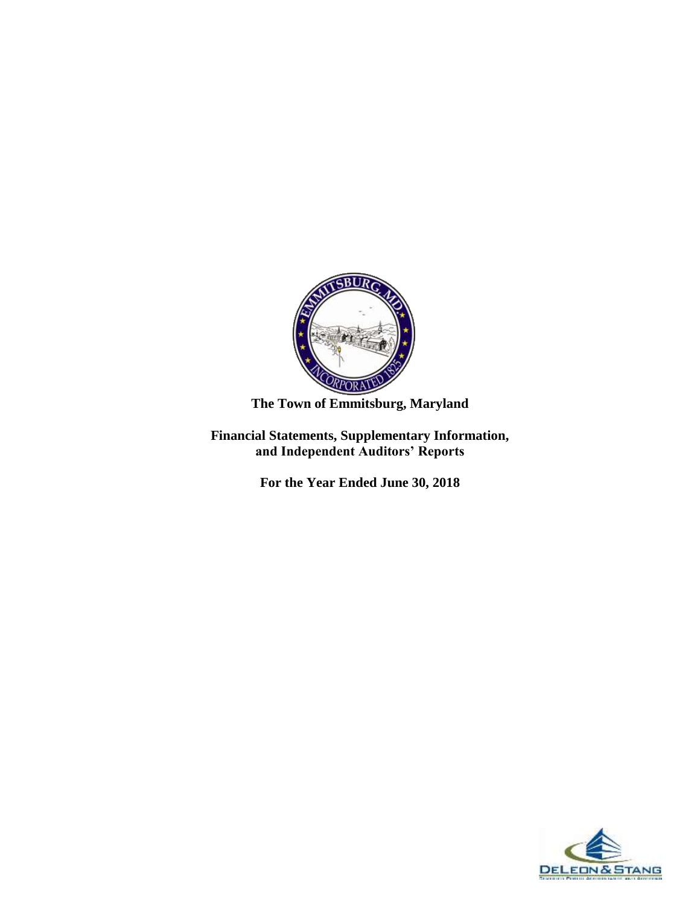

# **The Town of Emmitsburg, Maryland**

**Financial Statements, Supplementary Information, and Independent Auditors' Reports**

**For the Year Ended June 30, 2018**

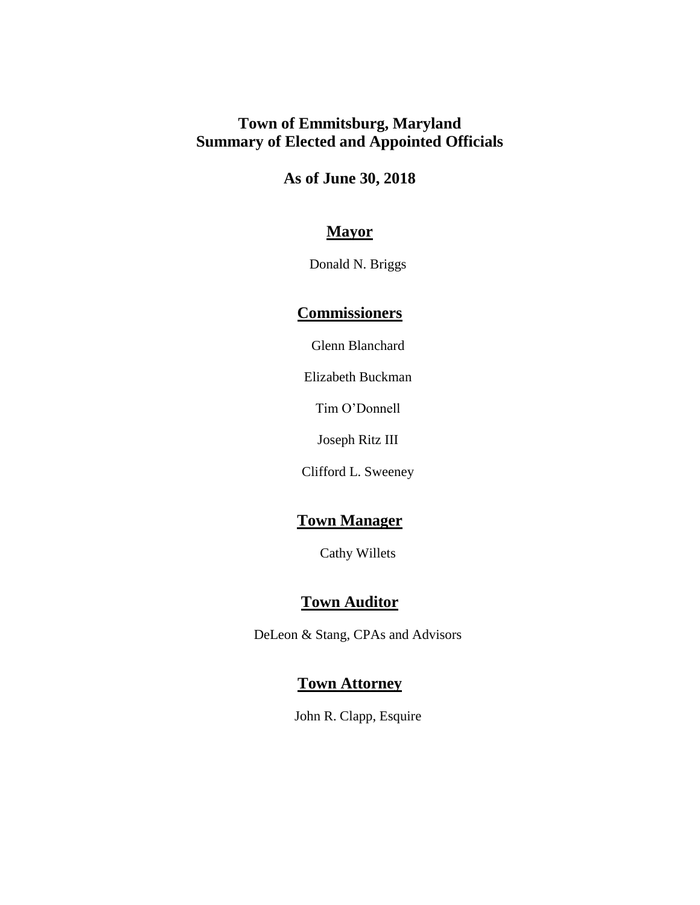# **Town of Emmitsburg, Maryland Summary of Elected and Appointed Officials**

**As of June 30, 2018**

# **Mayor**

Donald N. Briggs

# **Commissioners**

Glenn Blanchard

Elizabeth Buckman

Tim O'Donnell

Joseph Ritz III

Clifford L. Sweeney

# **Town Manager**

Cathy Willets

# **Town Auditor**

DeLeon & Stang, CPAs and Advisors

# **Town Attorney**

John R. Clapp, Esquire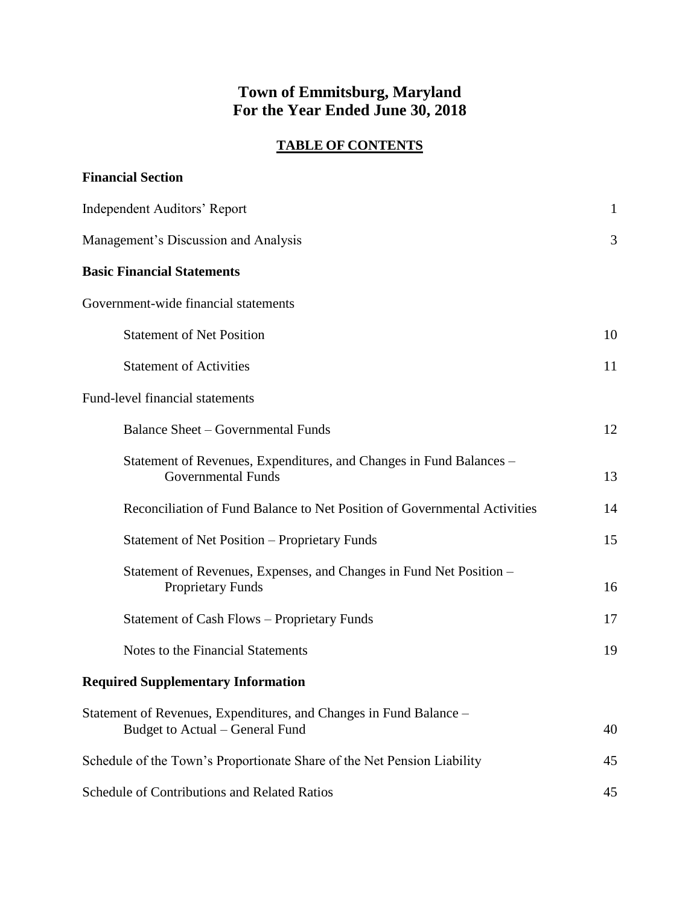# **Town of Emmitsburg, Maryland For the Year Ended June 30, 2018**

# **TABLE OF CONTENTS**

| <b>Financial Section</b>                                                                              |              |
|-------------------------------------------------------------------------------------------------------|--------------|
| Independent Auditors' Report                                                                          | $\mathbf{1}$ |
| Management's Discussion and Analysis                                                                  | 3            |
| <b>Basic Financial Statements</b>                                                                     |              |
| Government-wide financial statements                                                                  |              |
| <b>Statement of Net Position</b>                                                                      | 10           |
| <b>Statement of Activities</b>                                                                        | 11           |
| Fund-level financial statements                                                                       |              |
| <b>Balance Sheet – Governmental Funds</b>                                                             | 12           |
| Statement of Revenues, Expenditures, and Changes in Fund Balances -<br><b>Governmental Funds</b>      | 13           |
| Reconciliation of Fund Balance to Net Position of Governmental Activities                             | 14           |
| <b>Statement of Net Position - Proprietary Funds</b>                                                  | 15           |
| Statement of Revenues, Expenses, and Changes in Fund Net Position –<br><b>Proprietary Funds</b>       | 16           |
| Statement of Cash Flows - Proprietary Funds                                                           | 17           |
| Notes to the Financial Statements                                                                     | 19           |
| <b>Required Supplementary Information</b>                                                             |              |
| Statement of Revenues, Expenditures, and Changes in Fund Balance –<br>Budget to Actual – General Fund | 40           |
| Schedule of the Town's Proportionate Share of the Net Pension Liability                               | 45           |
| <b>Schedule of Contributions and Related Ratios</b>                                                   | 45           |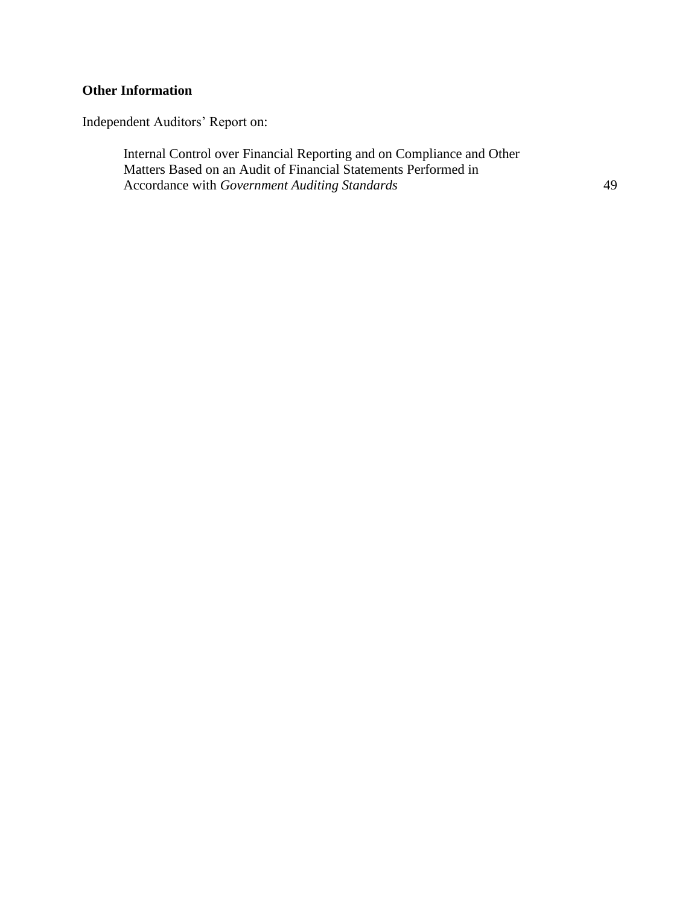# **Other Information**

Independent Auditors' Report on:

Internal Control over Financial Reporting and on Compliance and Other Matters Based on an Audit of Financial Statements Performed in Accordance with *Government Auditing Standards* 49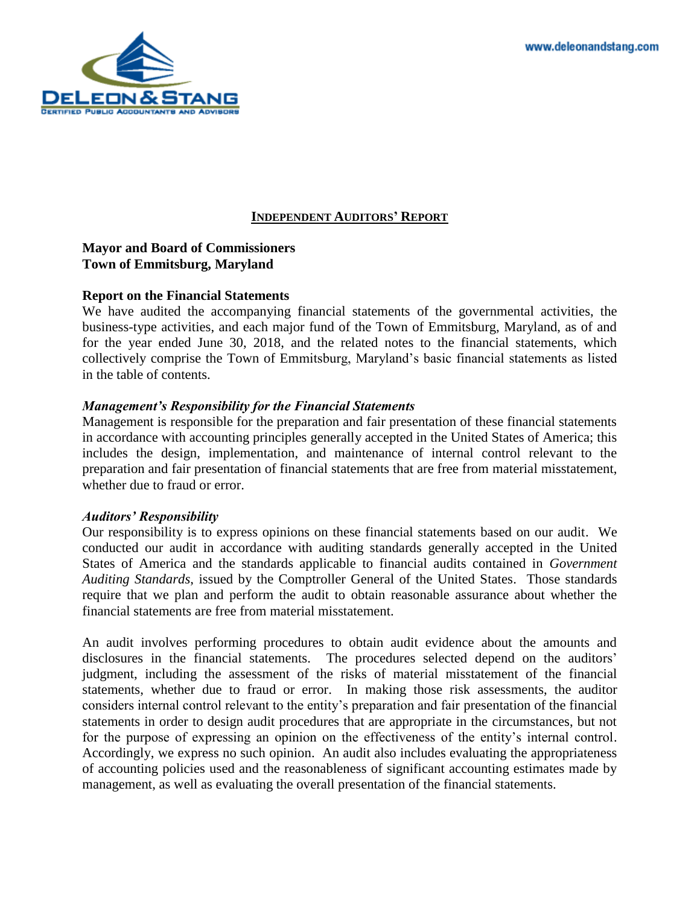

### **INDEPENDENT AUDITORS' REPORT**

### **Mayor and Board of Commissioners Town of Emmitsburg, Maryland**

## **Report on the Financial Statements**

We have audited the accompanying financial statements of the governmental activities, the business-type activities, and each major fund of the Town of Emmitsburg, Maryland, as of and for the year ended June 30, 2018, and the related notes to the financial statements, which collectively comprise the Town of Emmitsburg, Maryland's basic financial statements as listed in the table of contents.

## *Management's Responsibility for the Financial Statements*

Management is responsible for the preparation and fair presentation of these financial statements in accordance with accounting principles generally accepted in the United States of America; this includes the design, implementation, and maintenance of internal control relevant to the preparation and fair presentation of financial statements that are free from material misstatement, whether due to fraud or error.

#### *Auditors' Responsibility*

Our responsibility is to express opinions on these financial statements based on our audit. We conducted our audit in accordance with auditing standards generally accepted in the United States of America and the standards applicable to financial audits contained in *Government Auditing Standards*, issued by the Comptroller General of the United States. Those standards require that we plan and perform the audit to obtain reasonable assurance about whether the financial statements are free from material misstatement.

An audit involves performing procedures to obtain audit evidence about the amounts and disclosures in the financial statements. The procedures selected depend on the auditors' judgment, including the assessment of the risks of material misstatement of the financial statements, whether due to fraud or error. In making those risk assessments, the auditor considers internal control relevant to the entity's preparation and fair presentation of the financial statements in order to design audit procedures that are appropriate in the circumstances, but not for the purpose of expressing an opinion on the effectiveness of the entity's internal control. Accordingly, we express no such opinion. An audit also includes evaluating the appropriateness of accounting policies used and the reasonableness of significant accounting estimates made by management, as well as evaluating the overall presentation of the financial statements.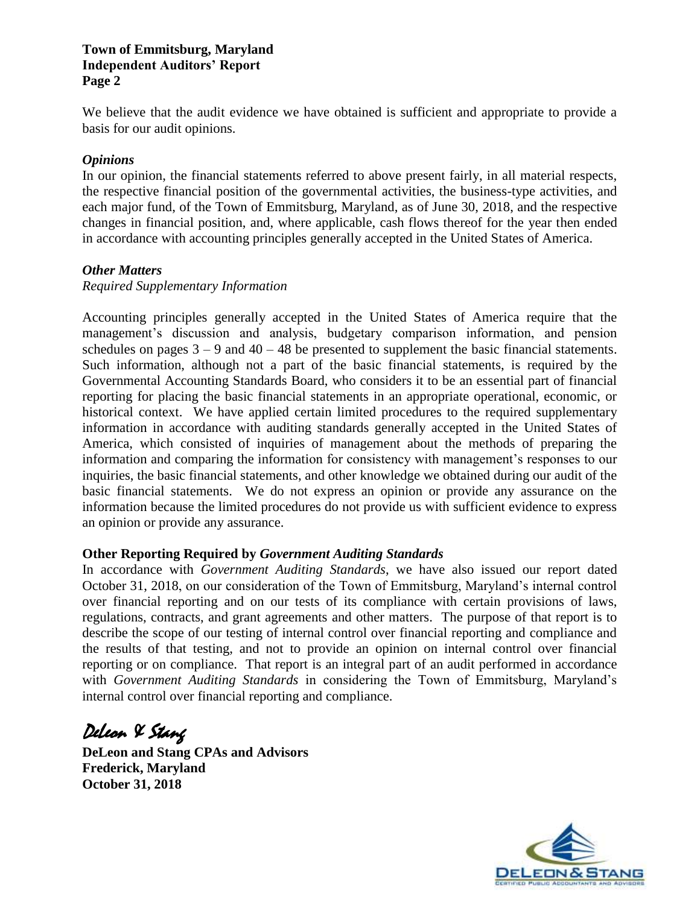### **Town of Emmitsburg, Maryland Independent Auditors' Report Page 2**

We believe that the audit evidence we have obtained is sufficient and appropriate to provide a basis for our audit opinions.

### *Opinions*

In our opinion, the financial statements referred to above present fairly, in all material respects, the respective financial position of the governmental activities, the business-type activities, and each major fund, of the Town of Emmitsburg, Maryland, as of June 30, 2018, and the respective changes in financial position, and, where applicable, cash flows thereof for the year then ended in accordance with accounting principles generally accepted in the United States of America.

## *Other Matters*

## *Required Supplementary Information*

Accounting principles generally accepted in the United States of America require that the management's discussion and analysis, budgetary comparison information, and pension schedules on pages  $3 - 9$  and  $40 - 48$  be presented to supplement the basic financial statements. Such information, although not a part of the basic financial statements, is required by the Governmental Accounting Standards Board, who considers it to be an essential part of financial reporting for placing the basic financial statements in an appropriate operational, economic, or historical context. We have applied certain limited procedures to the required supplementary information in accordance with auditing standards generally accepted in the United States of America, which consisted of inquiries of management about the methods of preparing the information and comparing the information for consistency with management's responses to our inquiries, the basic financial statements, and other knowledge we obtained during our audit of the basic financial statements. We do not express an opinion or provide any assurance on the information because the limited procedures do not provide us with sufficient evidence to express an opinion or provide any assurance.

#### **Other Reporting Required by** *Government Auditing Standards*

In accordance with *Government Auditing Standards*, we have also issued our report dated October 31, 2018, on our consideration of the Town of Emmitsburg, Maryland's internal control over financial reporting and on our tests of its compliance with certain provisions of laws, regulations, contracts, and grant agreements and other matters. The purpose of that report is to describe the scope of our testing of internal control over financial reporting and compliance and the results of that testing, and not to provide an opinion on internal control over financial reporting or on compliance. That report is an integral part of an audit performed in accordance with *Government Auditing Standards* in considering the Town of Emmitsburg, Maryland's internal control over financial reporting and compliance.

DeLeon & Stang

**DeLeon and Stang CPAs and Advisors Frederick, Maryland October 31, 2018**

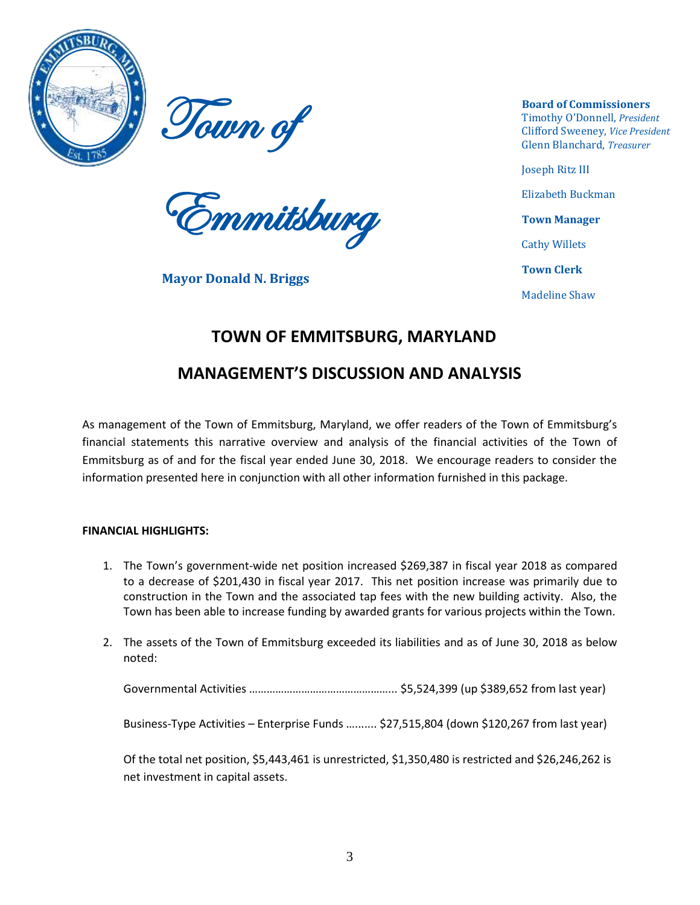

Town of



**Mayor Donald N. Briggs**

**Board of Commissioners**  Timothy O'Donnell, *President*  Clifford Sweeney, *Vice President*  Glenn Blanchard, *Treasurer*  Joseph Ritz III Elizabeth Buckman **Town Manager**

Cathy Willets

**Town Clerk**

Madeline Shaw

# **TOWN OF EMMITSBURG, MARYLAND**

# **MANAGEMENT'S DISCUSSION AND ANALYSIS**

As management of the Town of Emmitsburg, Maryland, we offer readers of the Town of Emmitsburg's financial statements this narrative overview and analysis of the financial activities of the Town of Emmitsburg as of and for the fiscal year ended June 30, 2018. We encourage readers to consider the information presented here in conjunction with all other information furnished in this package.

#### **FINANCIAL HIGHLIGHTS:**

- 1. The Town's government-wide net position increased \$269,387 in fiscal year 2018 as compared to a decrease of \$201,430 in fiscal year 2017. This net position increase was primarily due to construction in the Town and the associated tap fees with the new building activity. Also, the Town has been able to increase funding by awarded grants for various projects within the Town.
- 2. The assets of the Town of Emmitsburg exceeded its liabilities and as of June 30, 2018 as below noted:

Governmental Activities …………………………………………... \$5,524,399 (up \$389,652 from last year)

Business-Type Activities – Enterprise Funds …....... \$27,515,804 (down \$120,267 from last year)

Of the total net position, \$5,443,461 is unrestricted, \$1,350,480 is restricted and \$26,246,262 is net investment in capital assets.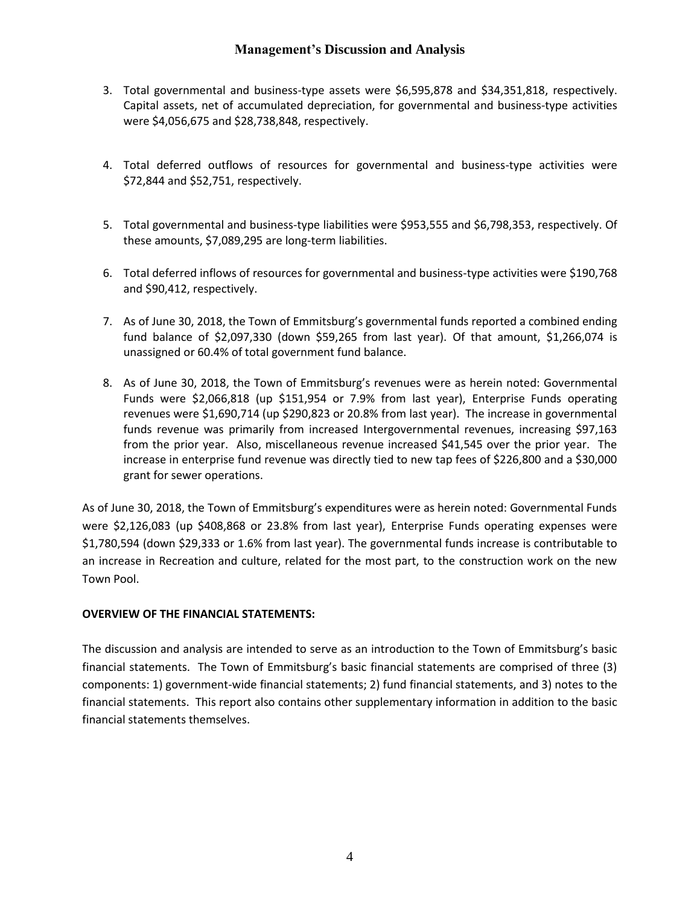- 3. Total governmental and business-type assets were \$6,595,878 and \$34,351,818, respectively. Capital assets, net of accumulated depreciation, for governmental and business-type activities were \$4,056,675 and \$28,738,848, respectively.
- 4. Total deferred outflows of resources for governmental and business-type activities were \$72,844 and \$52,751, respectively.
- 5. Total governmental and business-type liabilities were \$953,555 and \$6,798,353, respectively. Of these amounts, \$7,089,295 are long-term liabilities.
- 6. Total deferred inflows of resources for governmental and business-type activities were \$190,768 and \$90,412, respectively.
- 7. As of June 30, 2018, the Town of Emmitsburg's governmental funds reported a combined ending fund balance of \$2,097,330 (down \$59,265 from last year). Of that amount, \$1,266,074 is unassigned or 60.4% of total government fund balance.
- 8. As of June 30, 2018, the Town of Emmitsburg's revenues were as herein noted: Governmental Funds were \$2,066,818 (up \$151,954 or 7.9% from last year), Enterprise Funds operating revenues were \$1,690,714 (up \$290,823 or 20.8% from last year). The increase in governmental funds revenue was primarily from increased Intergovernmental revenues, increasing \$97,163 from the prior year. Also, miscellaneous revenue increased \$41,545 over the prior year. The increase in enterprise fund revenue was directly tied to new tap fees of \$226,800 and a \$30,000 grant for sewer operations.

As of June 30, 2018, the Town of Emmitsburg's expenditures were as herein noted: Governmental Funds were \$2,126,083 (up \$408,868 or 23.8% from last year), Enterprise Funds operating expenses were \$1,780,594 (down \$29,333 or 1.6% from last year). The governmental funds increase is contributable to an increase in Recreation and culture, related for the most part, to the construction work on the new Town Pool.

#### **OVERVIEW OF THE FINANCIAL STATEMENTS:**

The discussion and analysis are intended to serve as an introduction to the Town of Emmitsburg's basic financial statements. The Town of Emmitsburg's basic financial statements are comprised of three (3) components: 1) government-wide financial statements; 2) fund financial statements, and 3) notes to the financial statements. This report also contains other supplementary information in addition to the basic financial statements themselves.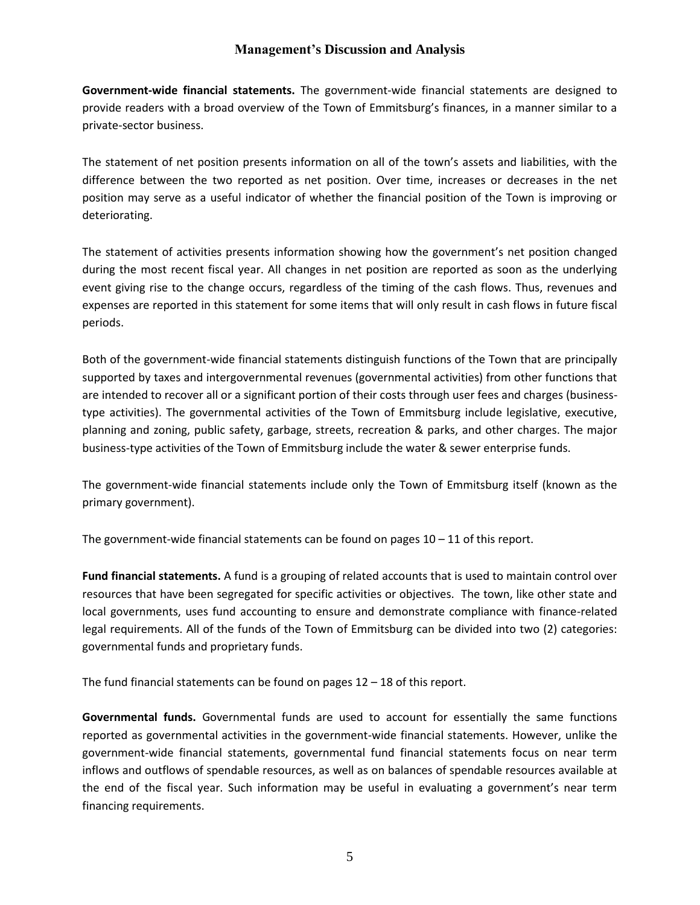**Government-wide financial statements.** The government-wide financial statements are designed to provide readers with a broad overview of the Town of Emmitsburg's finances, in a manner similar to a private-sector business.

The statement of net position presents information on all of the town's assets and liabilities, with the difference between the two reported as net position. Over time, increases or decreases in the net position may serve as a useful indicator of whether the financial position of the Town is improving or deteriorating.

The statement of activities presents information showing how the government's net position changed during the most recent fiscal year. All changes in net position are reported as soon as the underlying event giving rise to the change occurs, regardless of the timing of the cash flows. Thus, revenues and expenses are reported in this statement for some items that will only result in cash flows in future fiscal periods.

Both of the government-wide financial statements distinguish functions of the Town that are principally supported by taxes and intergovernmental revenues (governmental activities) from other functions that are intended to recover all or a significant portion of their costs through user fees and charges (businesstype activities). The governmental activities of the Town of Emmitsburg include legislative, executive, planning and zoning, public safety, garbage, streets, recreation & parks, and other charges. The major business-type activities of the Town of Emmitsburg include the water & sewer enterprise funds.

The government-wide financial statements include only the Town of Emmitsburg itself (known as the primary government).

The government-wide financial statements can be found on pages  $10 - 11$  of this report.

**Fund financial statements.** A fund is a grouping of related accounts that is used to maintain control over resources that have been segregated for specific activities or objectives. The town, like other state and local governments, uses fund accounting to ensure and demonstrate compliance with finance-related legal requirements. All of the funds of the Town of Emmitsburg can be divided into two (2) categories: governmental funds and proprietary funds.

The fund financial statements can be found on pages 12 – 18 of this report.

**Governmental funds.** Governmental funds are used to account for essentially the same functions reported as governmental activities in the government-wide financial statements. However, unlike the government-wide financial statements, governmental fund financial statements focus on near term inflows and outflows of spendable resources, as well as on balances of spendable resources available at the end of the fiscal year. Such information may be useful in evaluating a government's near term financing requirements.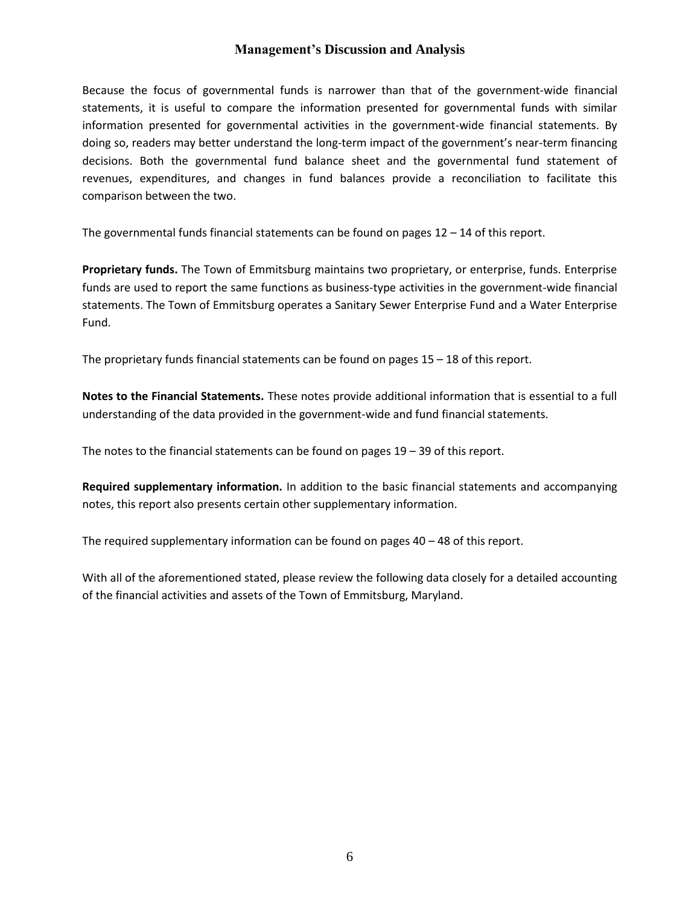Because the focus of governmental funds is narrower than that of the government-wide financial statements, it is useful to compare the information presented for governmental funds with similar information presented for governmental activities in the government-wide financial statements. By doing so, readers may better understand the long-term impact of the government's near-term financing decisions. Both the governmental fund balance sheet and the governmental fund statement of revenues, expenditures, and changes in fund balances provide a reconciliation to facilitate this comparison between the two.

The governmental funds financial statements can be found on pages  $12 - 14$  of this report.

**Proprietary funds.** The Town of Emmitsburg maintains two proprietary, or enterprise, funds. Enterprise funds are used to report the same functions as business-type activities in the government-wide financial statements. The Town of Emmitsburg operates a Sanitary Sewer Enterprise Fund and a Water Enterprise Fund.

The proprietary funds financial statements can be found on pages 15 – 18 of this report.

**Notes to the Financial Statements.** These notes provide additional information that is essential to a full understanding of the data provided in the government-wide and fund financial statements.

The notes to the financial statements can be found on pages 19 – 39 of this report.

**Required supplementary information.** In addition to the basic financial statements and accompanying notes, this report also presents certain other supplementary information.

The required supplementary information can be found on pages 40 – 48 of this report.

With all of the aforementioned stated, please review the following data closely for a detailed accounting of the financial activities and assets of the Town of Emmitsburg, Maryland.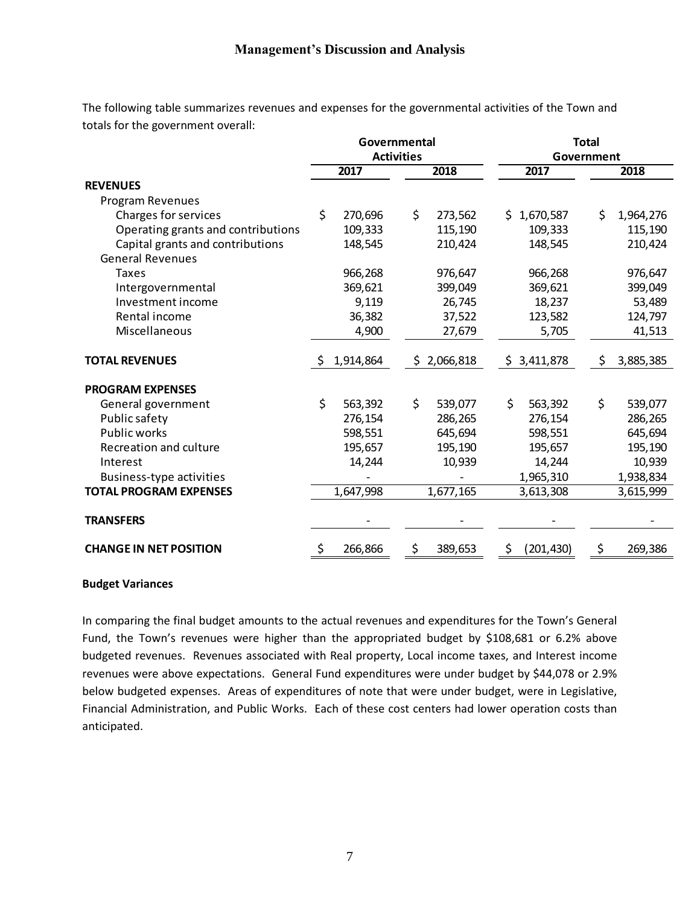The following table summarizes revenues and expenses for the governmental activities of the Town and totals for the government overall:

|                                    | Governmental      |           |    | <b>Total</b> |    |             |            |           |
|------------------------------------|-------------------|-----------|----|--------------|----|-------------|------------|-----------|
|                                    | <b>Activities</b> |           |    |              |    |             | Government |           |
|                                    |                   | 2017      |    | 2018         |    | 2017        |            | 2018      |
| <b>REVENUES</b>                    |                   |           |    |              |    |             |            |           |
| Program Revenues                   |                   |           |    |              |    |             |            |           |
| Charges for services               | \$                | 270,696   | \$ | 273,562      |    | \$1,670,587 | \$         | 1,964,276 |
| Operating grants and contributions |                   | 109,333   |    | 115,190      |    | 109,333     |            | 115,190   |
| Capital grants and contributions   |                   | 148,545   |    | 210,424      |    | 148,545     |            | 210,424   |
| <b>General Revenues</b>            |                   |           |    |              |    |             |            |           |
| <b>Taxes</b>                       |                   | 966,268   |    | 976,647      |    | 966,268     |            | 976,647   |
| Intergovernmental                  |                   | 369,621   |    | 399,049      |    | 369,621     |            | 399,049   |
| Investment income                  |                   | 9,119     |    | 26,745       |    | 18,237      |            | 53,489    |
| Rental income                      |                   | 36,382    |    | 37,522       |    | 123,582     |            | 124,797   |
| Miscellaneous                      |                   | 4,900     |    | 27,679       |    | 5,705       |            | 41,513    |
|                                    |                   |           |    |              |    |             |            |           |
| <b>TOTAL REVENUES</b>              | S.                | 1,914,864 |    | \$2,066,818  |    | \$3,411,878 | \$         | 3,885,385 |
| <b>PROGRAM EXPENSES</b>            |                   |           |    |              |    |             |            |           |
| General government                 | \$                | 563,392   | \$ | 539,077      | \$ | 563,392     | \$         | 539,077   |
| Public safety                      |                   | 276,154   |    | 286,265      |    | 276,154     |            | 286,265   |
| Public works                       |                   | 598,551   |    | 645,694      |    | 598,551     |            | 645,694   |
| Recreation and culture             |                   | 195,657   |    | 195,190      |    | 195,657     |            | 195,190   |
| Interest                           |                   | 14,244    |    | 10,939       |    | 14,244      |            | 10,939    |
| <b>Business-type activities</b>    |                   |           |    |              |    | 1,965,310   |            | 1,938,834 |
| <b>TOTAL PROGRAM EXPENSES</b>      |                   | 1,647,998 |    | 1,677,165    |    | 3,613,308   |            | 3,615,999 |
|                                    |                   |           |    |              |    |             |            |           |
| <b>TRANSFERS</b>                   |                   |           |    |              |    |             |            |           |
| <b>CHANGE IN NET POSITION</b>      | \$                | 266,866   | \$ | 389,653      | \$ | (201, 430)  | \$         | 269,386   |

#### **Budget Variances**

In comparing the final budget amounts to the actual revenues and expenditures for the Town's General Fund, the Town's revenues were higher than the appropriated budget by \$108,681 or 6.2% above budgeted revenues. Revenues associated with Real property, Local income taxes, and Interest income revenues were above expectations. General Fund expenditures were under budget by \$44,078 or 2.9% below budgeted expenses. Areas of expenditures of note that were under budget, were in Legislative, Financial Administration, and Public Works. Each of these cost centers had lower operation costs than anticipated.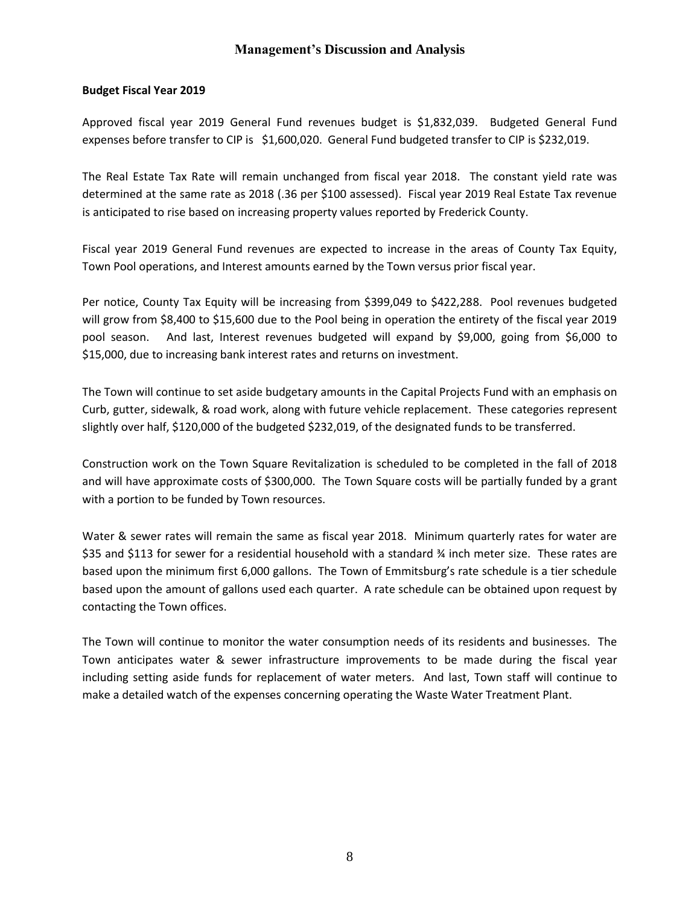#### **Budget Fiscal Year 2019**

Approved fiscal year 2019 General Fund revenues budget is \$1,832,039. Budgeted General Fund expenses before transfer to CIP is \$1,600,020. General Fund budgeted transfer to CIP is \$232,019.

The Real Estate Tax Rate will remain unchanged from fiscal year 2018. The constant yield rate was determined at the same rate as 2018 (.36 per \$100 assessed). Fiscal year 2019 Real Estate Tax revenue is anticipated to rise based on increasing property values reported by Frederick County.

Fiscal year 2019 General Fund revenues are expected to increase in the areas of County Tax Equity, Town Pool operations, and Interest amounts earned by the Town versus prior fiscal year.

Per notice, County Tax Equity will be increasing from \$399,049 to \$422,288. Pool revenues budgeted will grow from \$8,400 to \$15,600 due to the Pool being in operation the entirety of the fiscal year 2019 pool season. And last, Interest revenues budgeted will expand by \$9,000, going from \$6,000 to \$15,000, due to increasing bank interest rates and returns on investment.

The Town will continue to set aside budgetary amounts in the Capital Projects Fund with an emphasis on Curb, gutter, sidewalk, & road work, along with future vehicle replacement. These categories represent slightly over half, \$120,000 of the budgeted \$232,019, of the designated funds to be transferred.

Construction work on the Town Square Revitalization is scheduled to be completed in the fall of 2018 and will have approximate costs of \$300,000. The Town Square costs will be partially funded by a grant with a portion to be funded by Town resources.

Water & sewer rates will remain the same as fiscal year 2018. Minimum quarterly rates for water are \$35 and \$113 for sewer for a residential household with a standard ¾ inch meter size. These rates are based upon the minimum first 6,000 gallons. The Town of Emmitsburg's rate schedule is a tier schedule based upon the amount of gallons used each quarter. A rate schedule can be obtained upon request by contacting the Town offices.

The Town will continue to monitor the water consumption needs of its residents and businesses. The Town anticipates water & sewer infrastructure improvements to be made during the fiscal year including setting aside funds for replacement of water meters. And last, Town staff will continue to make a detailed watch of the expenses concerning operating the Waste Water Treatment Plant.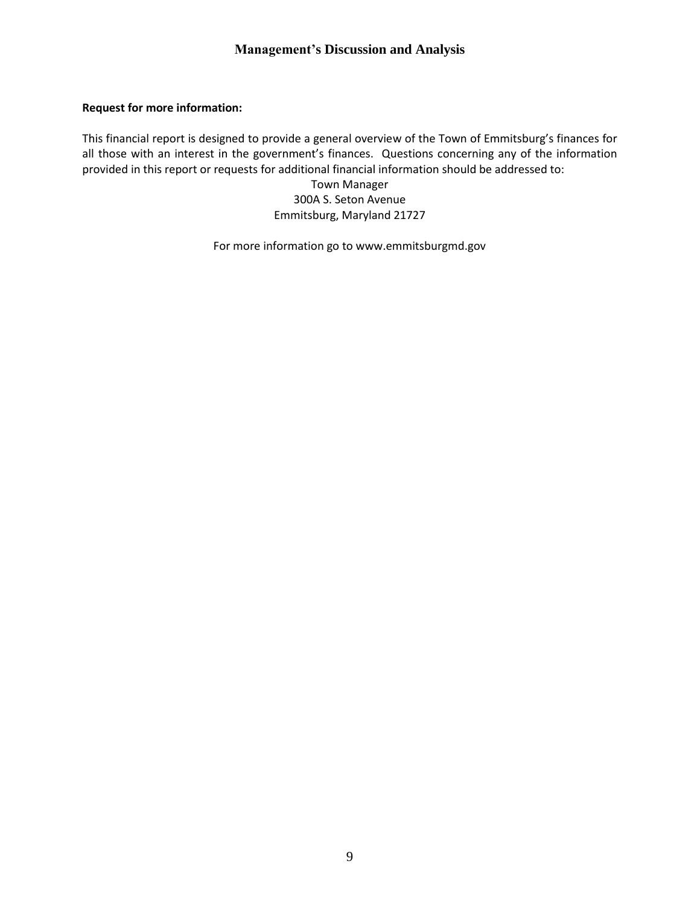#### **Request for more information:**

This financial report is designed to provide a general overview of the Town of Emmitsburg's finances for all those with an interest in the government's finances. Questions concerning any of the information provided in this report or requests for additional financial information should be addressed to:

> Town Manager 300A S. Seton Avenue Emmitsburg, Maryland 21727

For more information go to www.emmitsburgmd.gov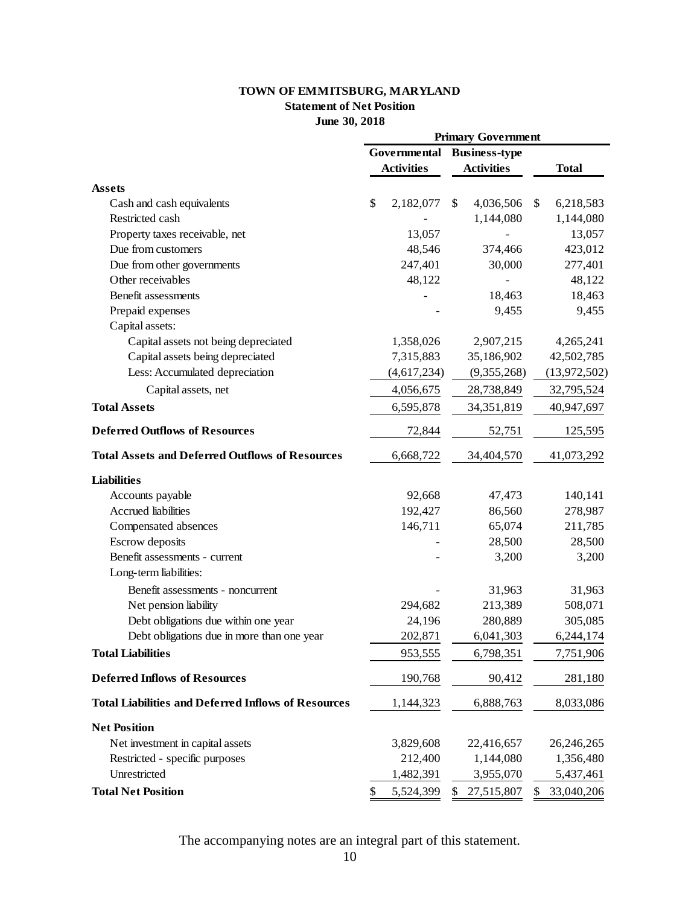## **TOWN OF EMMITSBURG, MARYLAND Statement of Net Position**

**June 30, 2018**

|                                                            | <b>Primary Government</b> |             |                   |                      |           |              |
|------------------------------------------------------------|---------------------------|-------------|-------------------|----------------------|-----------|--------------|
|                                                            | Governmental              |             |                   | <b>Business-type</b> |           |              |
|                                                            | <b>Activities</b>         |             | <b>Activities</b> |                      |           | <b>Total</b> |
| <b>Assets</b>                                              |                           |             |                   |                      |           |              |
| Cash and cash equivalents                                  | \$                        | 2,182,077   | \$                | 4,036,506            | \$        | 6,218,583    |
| Restricted cash                                            |                           |             |                   | 1,144,080            |           | 1,144,080    |
| Property taxes receivable, net                             |                           | 13,057      |                   |                      |           | 13,057       |
| Due from customers                                         |                           | 48,546      |                   | 374,466              |           | 423,012      |
| Due from other governments                                 |                           | 247,401     |                   | 30,000               |           | 277,401      |
| Other receivables                                          |                           | 48,122      |                   |                      |           | 48,122       |
| Benefit assessments                                        |                           |             |                   | 18,463               |           | 18,463       |
| Prepaid expenses                                           |                           |             |                   | 9,455                |           | 9,455        |
| Capital assets:                                            |                           |             |                   |                      |           |              |
| Capital assets not being depreciated                       |                           | 1,358,026   |                   | 2,907,215            |           | 4,265,241    |
| Capital assets being depreciated                           |                           | 7,315,883   |                   | 35,186,902           |           | 42,502,785   |
| Less: Accumulated depreciation                             |                           | (4,617,234) |                   | (9,355,268)          |           | (13,972,502) |
| Capital assets, net                                        |                           | 4,056,675   |                   | 28,738,849           |           | 32,795,524   |
| <b>Total Assets</b>                                        |                           | 6,595,878   |                   | 34,351,819           |           | 40,947,697   |
| <b>Deferred Outflows of Resources</b>                      |                           | 72,844      |                   | 52,751               |           | 125,595      |
| <b>Total Assets and Deferred Outflows of Resources</b>     |                           | 6,668,722   |                   | 34,404,570           |           | 41,073,292   |
| <b>Liabilities</b>                                         |                           |             |                   |                      |           |              |
| Accounts payable                                           |                           | 92,668      |                   | 47,473               |           | 140,141      |
| <b>Accrued</b> liabilities                                 |                           | 192,427     |                   | 86,560               |           | 278,987      |
| Compensated absences                                       |                           | 146,711     | 65,074            |                      |           | 211,785      |
| Escrow deposits                                            |                           |             |                   | 28,500               |           | 28,500       |
| Benefit assessments - current                              |                           |             |                   | 3,200                |           | 3,200        |
| Long-term liabilities:                                     |                           |             |                   |                      |           |              |
| Benefit assessments - noncurrent                           |                           |             |                   | 31,963               |           | 31,963       |
| Net pension liability                                      |                           | 294,682     |                   | 213,389              |           | 508,071      |
| Debt obligations due within one year                       |                           | 24,196      |                   | 280,889              |           | 305,085      |
| Debt obligations due in more than one year                 |                           | 202,871     |                   | 6,041,303            |           | 6,244,174    |
| <b>Total Liabilities</b>                                   |                           | 953,555     |                   | 6,798,351            |           | 7,751,906    |
| <b>Deferred Inflows of Resources</b>                       |                           | 190,768     |                   | 90,412               |           | 281,180      |
| <b>Total Liabilities and Deferred Inflows of Resources</b> |                           | 1,144,323   |                   | 6,888,763            |           | 8,033,086    |
| <b>Net Position</b>                                        |                           |             |                   |                      |           |              |
| Net investment in capital assets                           |                           | 3,829,608   |                   | 22,416,657           |           | 26,246,265   |
| Restricted - specific purposes                             |                           | 212,400     |                   | 1,144,080            | 1,356,480 |              |
| Unrestricted                                               |                           | 1,482,391   |                   | 3,955,070            |           | 5,437,461    |
| <b>Total Net Position</b>                                  | \$                        | 5,524,399   | \$                | 27,515,807           | \$        | 33,040,206   |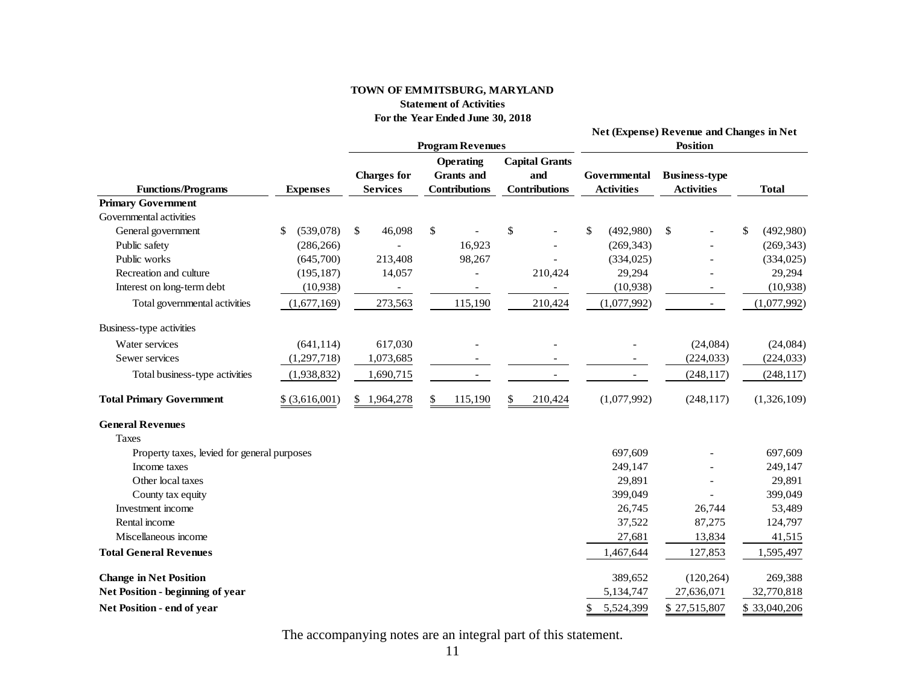#### **TOWN OF EMMITSBURG, MARYLAND Statement of Activities For the Year Ended June 30, 2018**

|                                             |                   | <b>Program Revenues</b> |                      |                       |                   | Net (Expense) Revenue and Changes in Net<br><b>Position</b> |                 |
|---------------------------------------------|-------------------|-------------------------|----------------------|-----------------------|-------------------|-------------------------------------------------------------|-----------------|
|                                             |                   |                         | <b>Operating</b>     | <b>Capital Grants</b> |                   |                                                             |                 |
|                                             |                   | <b>Charges for</b>      | <b>Grants</b> and    | and                   | Governmental      | <b>Business-type</b>                                        |                 |
| <b>Functions/Programs</b>                   | <b>Expenses</b>   | <b>Services</b>         | <b>Contributions</b> | Contributions         | <b>Activities</b> | <b>Activities</b>                                           | <b>Total</b>    |
| <b>Primary Government</b>                   |                   |                         |                      |                       |                   |                                                             |                 |
| Governmental activities                     |                   |                         |                      |                       |                   |                                                             |                 |
| General government                          | (539,078)<br>\$   | \$<br>46,098            | \$                   | \$                    | (492,980)<br>\$   | \$                                                          | (492,980)<br>\$ |
| Public safety                               | (286, 266)        |                         | 16,923               |                       | (269, 343)        |                                                             | (269, 343)      |
| Public works                                | (645,700)         | 213,408                 | 98,267               |                       | (334,025)         |                                                             | (334,025)       |
| Recreation and culture                      | (195, 187)        | 14,057                  |                      | 210,424               | 29,294            |                                                             | 29,294          |
| Interest on long-term debt                  | (10, 938)         |                         |                      |                       | (10,938)          |                                                             | (10, 938)       |
| Total governmental activities               | (1,677,169)       | 273,563                 | 115,190              | 210,424               | (1,077,992)       | $\overline{\phantom{a}}$                                    | (1,077,992)     |
| Business-type activities                    |                   |                         |                      |                       |                   |                                                             |                 |
| Water services                              | (641, 114)        | 617,030                 |                      |                       |                   | (24,084)                                                    | (24,084)        |
| Sewer services                              | (1, 297, 718)     | 1,073,685               |                      |                       |                   | (224, 033)                                                  | (224, 033)      |
| Total business-type activities              | (1,938,832)       | 1,690,715               |                      |                       |                   | (248, 117)                                                  | (248, 117)      |
| <b>Total Primary Government</b>             | $$$ $(3,616,001)$ | 1,964,278<br>\$         | 115,190<br>\$        | 210,424<br>\$         | (1,077,992)       | (248, 117)                                                  | (1,326,109)     |
| <b>General Revenues</b>                     |                   |                         |                      |                       |                   |                                                             |                 |
| <b>Taxes</b>                                |                   |                         |                      |                       |                   |                                                             |                 |
| Property taxes, levied for general purposes |                   |                         |                      |                       | 697,609           |                                                             | 697,609         |
| Income taxes                                |                   |                         |                      |                       | 249,147           |                                                             | 249,147         |
| Other local taxes                           |                   |                         |                      |                       | 29,891            |                                                             | 29,891          |
| County tax equity                           |                   |                         |                      |                       | 399,049           |                                                             | 399,049         |
| Investment income                           |                   |                         |                      |                       | 26,745            | 26,744                                                      | 53,489          |
| Rental income                               |                   |                         |                      |                       | 37,522            | 87,275                                                      | 124,797         |
| Miscellaneous income                        |                   |                         |                      |                       | 27,681            | 13,834                                                      | 41,515          |
| <b>Total General Revenues</b>               |                   |                         |                      |                       | 1,467,644         | 127,853                                                     | 1,595,497       |
| <b>Change in Net Position</b>               |                   |                         |                      |                       | 389,652           | (120, 264)                                                  | 269,388         |
| Net Position - beginning of year            |                   |                         |                      |                       | 5,134,747         | 27,636,071                                                  | 32,770,818      |
| Net Position - end of year                  |                   |                         |                      |                       | 5,524,399<br>\$   | \$27,515,807                                                | \$33,040,206    |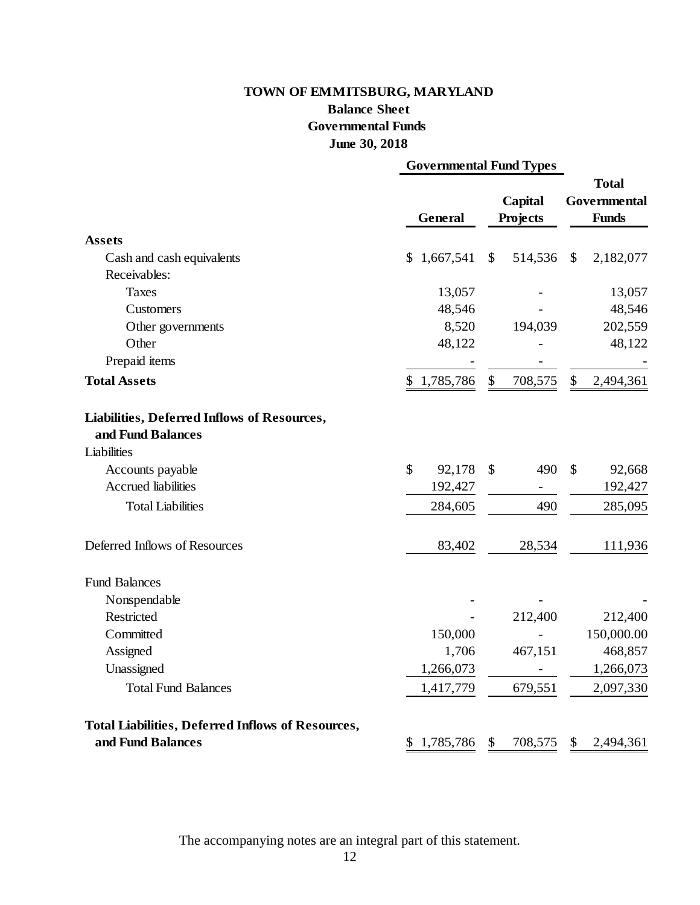# **TOWN OF EMMITSBURG, MARYLAND Balance Sheet Governmental Funds June 30, 2018**

|                                                                                 | <b>Governmental Fund Types</b> |                                      |                                              |  |  |
|---------------------------------------------------------------------------------|--------------------------------|--------------------------------------|----------------------------------------------|--|--|
|                                                                                 | General                        | <b>Capital</b><br>Projects           | <b>Total</b><br>Governmental<br><b>Funds</b> |  |  |
| <b>Assets</b>                                                                   |                                |                                      |                                              |  |  |
| Cash and cash equivalents                                                       | 1,667,541<br>S.                | \$<br>514,536                        | \$<br>2,182,077                              |  |  |
| Receivables:                                                                    |                                |                                      |                                              |  |  |
| <b>Taxes</b>                                                                    | 13,057                         |                                      | 13,057                                       |  |  |
| Customers                                                                       | 48,546                         |                                      | 48,546                                       |  |  |
| Other governments                                                               | 8,520                          | 194,039                              | 202,559                                      |  |  |
| Other                                                                           | 48,122                         |                                      | 48,122                                       |  |  |
| Prepaid items                                                                   |                                |                                      |                                              |  |  |
| <b>Total Assets</b>                                                             | 1,785,786<br>\$                | $\boldsymbol{\mathsf{S}}$<br>708,575 | 2,494,361<br>\$                              |  |  |
| Liabilities, Deferred Inflows of Resources,<br>and Fund Balances<br>Liabilities |                                |                                      |                                              |  |  |
| Accounts payable                                                                | \$<br>92,178                   | \$<br>490                            | $\mathcal{S}$<br>92,668                      |  |  |
| Accrued liabilities                                                             | 192,427                        | $\blacksquare$                       | 192,427                                      |  |  |
| <b>Total Liabilities</b>                                                        | 284,605                        | 490                                  | 285,095                                      |  |  |
| Deferred Inflows of Resources                                                   | 83,402                         | 28,534                               | 111,936                                      |  |  |
| <b>Fund Balances</b>                                                            |                                |                                      |                                              |  |  |
| Nonspendable                                                                    |                                |                                      |                                              |  |  |
| Restricted                                                                      |                                | 212,400                              | 212,400                                      |  |  |
| Committed                                                                       | 150,000                        |                                      | 150,000.00                                   |  |  |
| Assigned                                                                        | 1,706                          | 467,151                              | 468,857                                      |  |  |
| Unassigned                                                                      | 1,266,073                      | $\qquad \qquad -$                    | 1,266,073                                    |  |  |
| <b>Total Fund Balances</b>                                                      | 1,417,779                      | 679,551                              | 2,097,330                                    |  |  |
| <b>Total Liabilities, Deferred Inflows of Resources,</b>                        |                                |                                      |                                              |  |  |
| and Fund Balances                                                               | 1,785,786<br>\$                | \$<br>708,575                        | \$<br>2,494,361                              |  |  |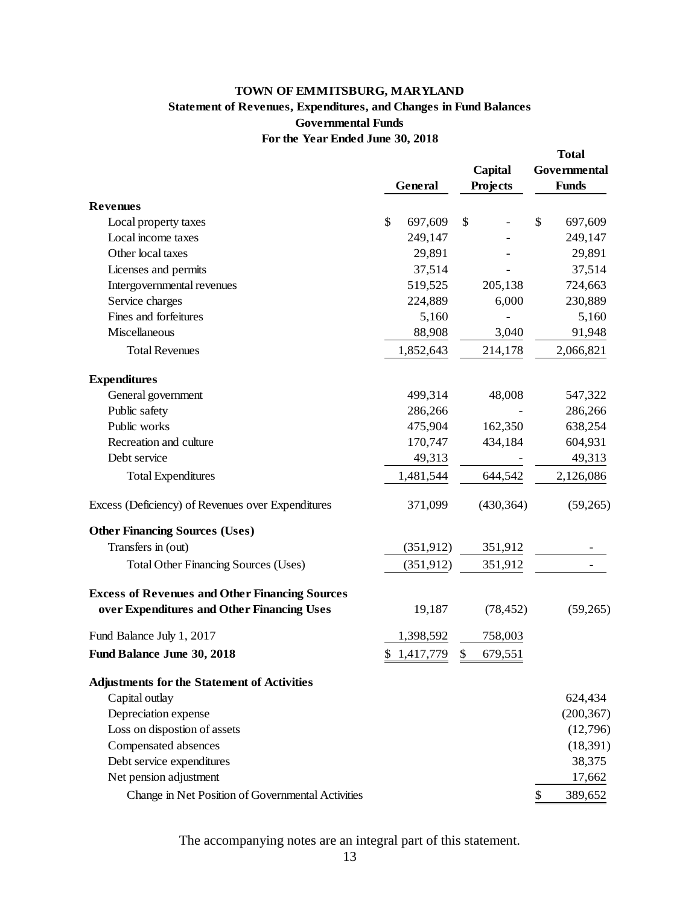## **TOWN OF EMMITSBURG, MARYLAND Statement of Revenues, Expenditures, and Changes in Fund Balances Governmental Funds For the Year Ended June 30, 2018**

|                                                       |               | Capital       | <b>Total</b><br>Governmental |
|-------------------------------------------------------|---------------|---------------|------------------------------|
|                                                       | General       | Projects      | <b>Funds</b>                 |
| <b>Revenues</b>                                       |               |               |                              |
| Local property taxes                                  | \$<br>697,609 | \$            | \$<br>697,609                |
| Local income taxes                                    | 249,147       |               | 249,147                      |
| Other local taxes                                     | 29,891        |               | 29,891                       |
| Licenses and permits                                  | 37,514        |               | 37,514                       |
| Intergovernmental revenues                            | 519,525       | 205,138       | 724,663                      |
| Service charges                                       | 224,889       | 6,000         | 230,889                      |
| Fines and forfeitures                                 | 5,160         |               | 5,160                        |
| Miscellaneous                                         | 88,908        | 3,040         | 91,948                       |
| <b>Total Revenues</b>                                 | 1,852,643     | 214,178       | 2,066,821                    |
| <b>Expenditures</b>                                   |               |               |                              |
| General government                                    | 499,314       | 48,008        | 547,322                      |
| Public safety                                         | 286,266       |               | 286,266                      |
| Public works                                          | 475,904       | 162,350       | 638,254                      |
| Recreation and culture                                | 170,747       | 434,184       | 604,931                      |
| Debt service                                          | 49,313        |               | 49,313                       |
| <b>Total Expenditures</b>                             | 1,481,544     | 644,542       | 2,126,086                    |
| Excess (Deficiency) of Revenues over Expenditures     | 371,099       | (430, 364)    | (59,265)                     |
| <b>Other Financing Sources (Uses)</b>                 |               |               |                              |
| Transfers in (out)                                    | (351,912)     | 351,912       |                              |
| <b>Total Other Financing Sources (Uses)</b>           | (351, 912)    | 351,912       |                              |
| <b>Excess of Revenues and Other Financing Sources</b> |               |               |                              |
| over Expenditures and Other Financing Uses            | 19,187        | (78, 452)     | (59,265)                     |
| Fund Balance July 1, 2017                             | 1,398,592     | 758,003       |                              |
| Fund Balance June 30, 2018                            | \$1,417,779   | \$<br>679,551 |                              |
| <b>Adjustments for the Statement of Activities</b>    |               |               |                              |
| Capital outlay                                        |               |               | 624,434                      |
| Depreciation expense                                  |               |               | (200, 367)                   |
| Loss on dispostion of assets                          |               |               | (12,796)                     |
| Compensated absences                                  |               |               | (18, 391)                    |
| Debt service expenditures                             |               |               | 38,375                       |
| Net pension adjustment                                |               |               | 17,662                       |
| Change in Net Position of Governmental Activities     |               |               | \$<br>389,652                |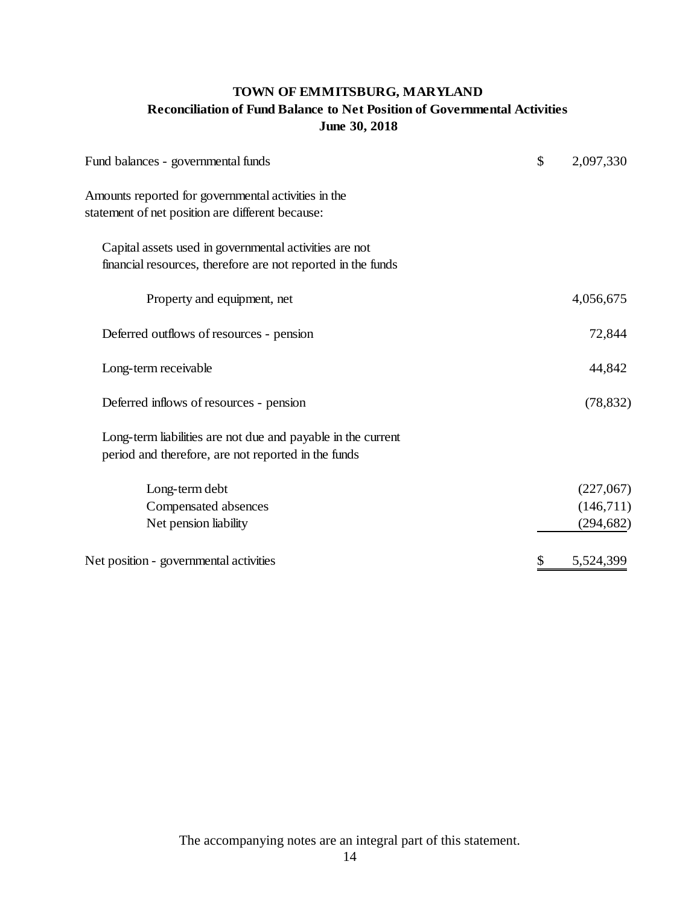# **TOWN OF EMMITSBURG, MARYLAND Reconciliation of Fund Balance to Net Position of Governmental Activities June 30, 2018**

| Fund balances - governmental funds                           | \$<br>2,097,330 |
|--------------------------------------------------------------|-----------------|
| Amounts reported for governmental activities in the          |                 |
| statement of net position are different because:             |                 |
| Capital assets used in governmental activities are not       |                 |
| financial resources, therefore are not reported in the funds |                 |
| Property and equipment, net                                  | 4,056,675       |
| Deferred outflows of resources - pension                     | 72,844          |
| Long-term receivable                                         | 44,842          |
| Deferred inflows of resources - pension                      | (78, 832)       |
| Long-term liabilities are not due and payable in the current |                 |
| period and therefore, are not reported in the funds          |                 |
| Long-term debt                                               | (227,067)       |
| Compensated absences                                         | (146,711)       |
| Net pension liability                                        | (294, 682)      |
| Net position - governmental activities                       | \$<br>5,524,399 |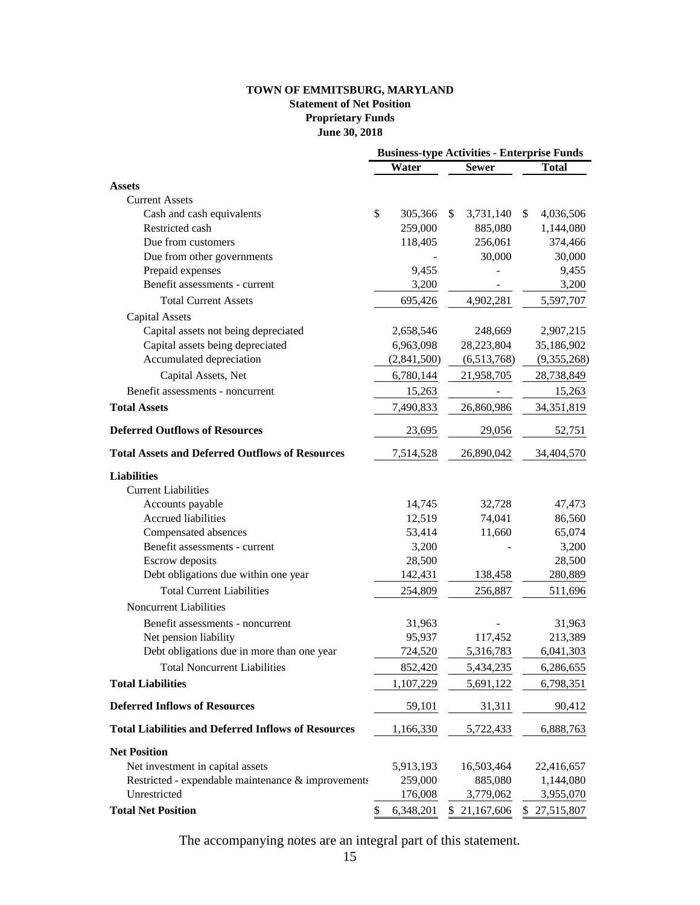#### **TOWN OF EMMITSBURG, MARYLAND Statement of Net Position Proprietary Funds June 30, 2018**

|                                                                    | <b>Business-type Activities - Enterprise Funds</b> |             |    |              |    |              |
|--------------------------------------------------------------------|----------------------------------------------------|-------------|----|--------------|----|--------------|
|                                                                    |                                                    | Water       |    | <b>Sewer</b> |    | <b>Total</b> |
| <b>Assets</b>                                                      |                                                    |             |    |              |    |              |
| <b>Current Assets</b>                                              |                                                    |             |    |              |    |              |
| Cash and cash equivalents                                          | \$                                                 | 305,366     | \$ | 3,731,140    | S. | 4,036,506    |
| Restricted cash                                                    |                                                    | 259,000     |    | 885,080      |    | 1,144,080    |
| Due from customers                                                 |                                                    | 118,405     |    | 256,061      |    | 374,466      |
| Due from other governments                                         |                                                    |             |    | 30,000       |    | 30,000       |
| Prepaid expenses                                                   |                                                    | 9,455       |    |              |    | 9,455        |
| Benefit assessments - current                                      |                                                    | 3,200       |    |              |    | 3,200        |
| <b>Total Current Assets</b>                                        |                                                    | 695,426     |    | 4,902,281    |    | 5,597,707    |
| <b>Capital Assets</b>                                              |                                                    |             |    |              |    |              |
| Capital assets not being depreciated                               |                                                    | 2,658,546   |    | 248,669      |    | 2,907,215    |
| Capital assets being depreciated                                   |                                                    | 6,963,098   |    | 28,223,804   |    | 35,186,902   |
| Accumulated depreciation                                           |                                                    | (2,841,500) |    | (6,513,768)  |    | (9,355,268)  |
| Capital Assets, Net                                                |                                                    | 6,780,144   |    | 21,958,705   |    | 28,738,849   |
| Benefit assessments - noncurrent                                   |                                                    | 15,263      |    |              |    | 15,263       |
| <b>Total Assets</b>                                                |                                                    | 7,490,833   |    | 26,860,986   |    | 34,351,819   |
| <b>Deferred Outflows of Resources</b>                              |                                                    | 23,695      |    | 29,056       |    | 52,751       |
| <b>Total Assets and Deferred Outflows of Resources</b>             |                                                    | 7,514,528   |    | 26,890,042   |    | 34,404,570   |
| <b>Liabilities</b>                                                 |                                                    |             |    |              |    |              |
| <b>Current Liabilities</b>                                         |                                                    |             |    |              |    |              |
| Accounts payable                                                   |                                                    | 14,745      |    | 32,728       |    | 47,473       |
| <b>Accrued liabilities</b>                                         |                                                    | 12,519      |    | 74,041       |    | 86,560       |
| Compensated absences                                               |                                                    | 53,414      |    | 11,660       |    | 65,074       |
| Benefit assessments - current                                      |                                                    | 3,200       |    |              |    | 3,200        |
| Escrow deposits                                                    |                                                    | 28,500      |    |              |    | 28,500       |
| Debt obligations due within one year                               |                                                    | 142,431     |    | 138,458      |    | 280,889      |
| <b>Total Current Liabilities</b>                                   |                                                    | 254,809     |    | 256,887      |    | 511,696      |
| <b>Noncurrent Liabilities</b>                                      |                                                    |             |    |              |    |              |
| Benefit assessments - noncurrent                                   |                                                    | 31,963      |    |              |    | 31,963       |
| Net pension liability                                              |                                                    | 95,937      |    | 117,452      |    | 213,389      |
| Debt obligations due in more than one year                         |                                                    | 724,520     |    | 5,316,783    |    | 6,041,303    |
| <b>Total Noncurrent Liabilities</b>                                |                                                    | 852,420     |    | 5,434,235    |    | 6,286,655    |
| <b>Total Liabilities</b>                                           |                                                    | 1,107,229   |    | 5,691,122    |    | 6,798,351    |
| <b>Deferred Inflows of Resources</b>                               |                                                    | 59,101      |    | 31,311       |    | 90,412       |
| <b>Total Liabilities and Deferred Inflows of Resources</b>         |                                                    | 1,166,330   |    | 5,722,433    |    | 6,888,763    |
| <b>Net Position</b>                                                |                                                    |             |    |              |    |              |
|                                                                    |                                                    |             |    |              |    |              |
| Net investment in capital assets                                   |                                                    | 5,913,193   |    | 16,503,464   |    | 22,416,657   |
| Restricted - expendable maintenance & improvements<br>Unrestricted |                                                    | 259,000     |    | 885,080      |    | 1,144,080    |
|                                                                    |                                                    | 176,008     |    | 3,779,062    |    | 3,955,070    |
| <b>Total Net Position</b>                                          | \$                                                 | 6,348,201   |    | \$21,167,606 |    | \$27,515,807 |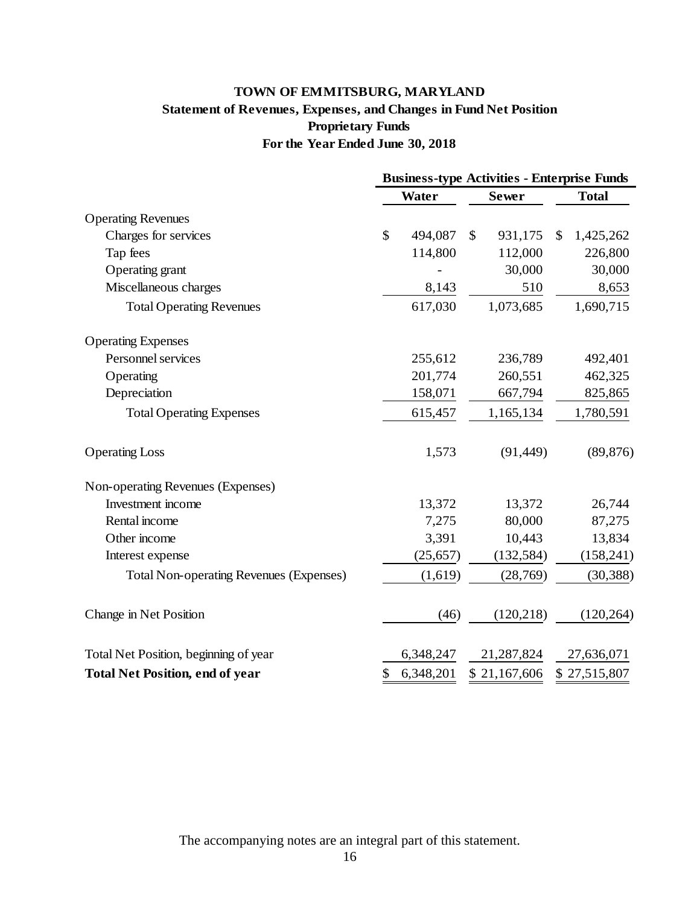# **TOWN OF EMMITSBURG, MARYLAND Statement of Revenues, Expenses, and Changes in Fund Net Position Proprietary Funds For the Year Ended June 30, 2018**

|                                                | <b>Business-type Activities - Enterprise Funds</b> |           |               |              |    |              |
|------------------------------------------------|----------------------------------------------------|-----------|---------------|--------------|----|--------------|
|                                                | Water                                              |           | <b>Sewer</b>  |              |    | <b>Total</b> |
| <b>Operating Revenues</b>                      |                                                    |           |               |              |    |              |
| Charges for services                           | \$                                                 | 494,087   | $\mathcal{S}$ | 931,175      | \$ | 1,425,262    |
| Tap fees                                       |                                                    | 114,800   |               | 112,000      |    | 226,800      |
| Operating grant                                |                                                    |           |               | 30,000       |    | 30,000       |
| Miscellaneous charges                          |                                                    | 8,143     |               | 510          |    | 8,653        |
| <b>Total Operating Revenues</b>                |                                                    | 617,030   |               | 1,073,685    |    | 1,690,715    |
| <b>Operating Expenses</b>                      |                                                    |           |               |              |    |              |
| Personnel services                             |                                                    | 255,612   |               | 236,789      |    | 492,401      |
| Operating                                      |                                                    | 201,774   |               | 260,551      |    | 462,325      |
| Depreciation                                   |                                                    | 158,071   |               | 667,794      |    | 825,865      |
| <b>Total Operating Expenses</b>                |                                                    | 615,457   |               | 1,165,134    |    | 1,780,591    |
| <b>Operating Loss</b>                          |                                                    | 1,573     |               | (91, 449)    |    | (89, 876)    |
| Non-operating Revenues (Expenses)              |                                                    |           |               |              |    |              |
| Investment income                              |                                                    | 13,372    |               | 13,372       |    | 26,744       |
| Rental income                                  |                                                    | 7,275     |               | 80,000       |    | 87,275       |
| Other income                                   |                                                    | 3,391     |               | 10,443       |    | 13,834       |
| Interest expense                               |                                                    | (25, 657) |               | (132, 584)   |    | (158,241)    |
| <b>Total Non-operating Revenues (Expenses)</b> |                                                    | (1,619)   |               | (28, 769)    |    | (30, 388)    |
| Change in Net Position                         |                                                    | (46)      |               | (120, 218)   |    | (120, 264)   |
| Total Net Position, beginning of year          |                                                    | 6,348,247 |               | 21,287,824   |    | 27,636,071   |
| <b>Total Net Position, end of year</b>         | \$                                                 | 6,348,201 |               | \$21,167,606 |    | \$27,515,807 |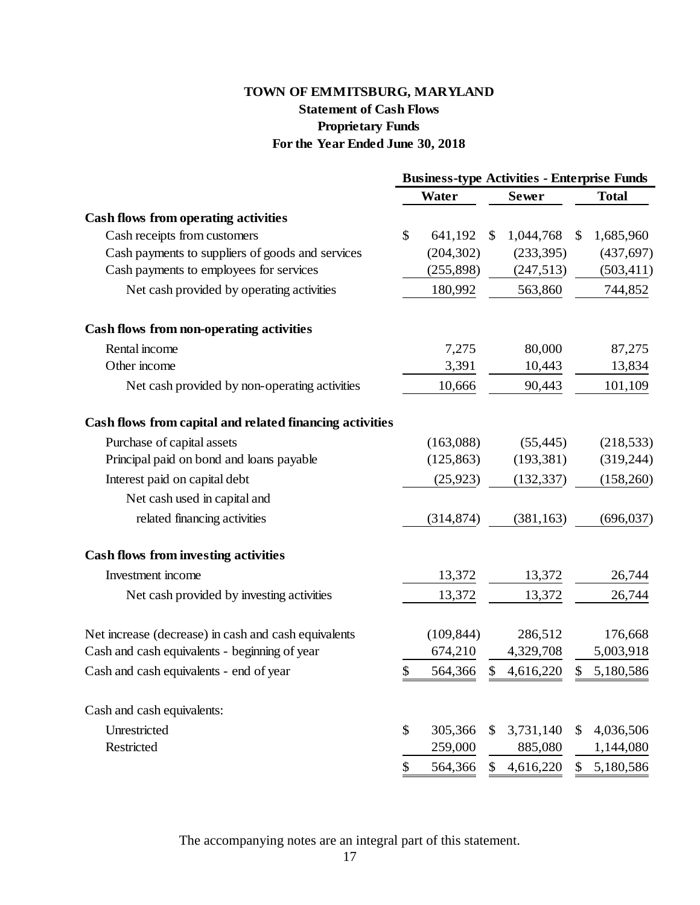# **For the Year Ended June 30, 2018 TOWN OF EMMITSBURG, MARYLAND Statement of Cash Flows Proprietary Funds**

|                                                          | <b>Business-type Activities - Enterprise Funds</b> |            |               |              |              |              |
|----------------------------------------------------------|----------------------------------------------------|------------|---------------|--------------|--------------|--------------|
|                                                          |                                                    | Water      |               | <b>Sewer</b> |              | <b>Total</b> |
| <b>Cash flows from operating activities</b>              |                                                    |            |               |              |              |              |
| Cash receipts from customers                             | \$                                                 | 641,192    | \$            | 1,044,768    | \$           | 1,685,960    |
| Cash payments to suppliers of goods and services         |                                                    | (204, 302) |               | (233, 395)   |              | (437, 697)   |
| Cash payments to employees for services                  |                                                    | (255, 898) |               | (247,513)    |              | (503, 411)   |
| Net cash provided by operating activities                |                                                    | 180,992    |               | 563,860      |              | 744,852      |
| <b>Cash flows from non-operating activities</b>          |                                                    |            |               |              |              |              |
| Rental income                                            |                                                    | 7,275      |               | 80,000       |              | 87,275       |
| Other income                                             |                                                    | 3,391      |               | 10,443       |              | 13,834       |
| Net cash provided by non-operating activities            |                                                    | 10,666     |               | 90,443       |              | 101,109      |
| Cash flows from capital and related financing activities |                                                    |            |               |              |              |              |
| Purchase of capital assets                               |                                                    | (163,088)  |               | (55, 445)    |              | (218, 533)   |
| Principal paid on bond and loans payable                 |                                                    | (125, 863) |               | (193, 381)   |              | (319, 244)   |
| Interest paid on capital debt                            |                                                    | (25, 923)  |               | (132, 337)   |              | (158,260)    |
| Net cash used in capital and                             |                                                    |            |               |              |              |              |
| related financing activities                             |                                                    | (314, 874) |               | (381, 163)   |              | (696, 037)   |
| <b>Cash flows from investing activities</b>              |                                                    |            |               |              |              |              |
| Investment income                                        |                                                    | 13,372     |               | 13,372       |              | 26,744       |
| Net cash provided by investing activities                |                                                    | 13,372     |               | 13,372       |              | 26,744       |
| Net increase (decrease) in cash and cash equivalents     |                                                    | (109, 844) |               | 286,512      |              | 176,668      |
| Cash and cash equivalents - beginning of year            |                                                    | 674,210    |               | 4,329,708    |              | 5,003,918    |
| Cash and cash equivalents - end of year                  | \$                                                 | 564,366    | \$            | 4,616,220    | \$           | 5,180,586    |
| Cash and cash equivalents:                               |                                                    |            |               |              |              |              |
| Unrestricted                                             | \$                                                 | 305,366    | \$            | 3,731,140    | $\mathbb{S}$ | 4,036,506    |
| Restricted                                               |                                                    | 259,000    |               | 885,080      |              | 1,144,080    |
|                                                          | \$                                                 | 564,366    | $\mathcal{S}$ | 4,616,220    | \$           | 5,180,586    |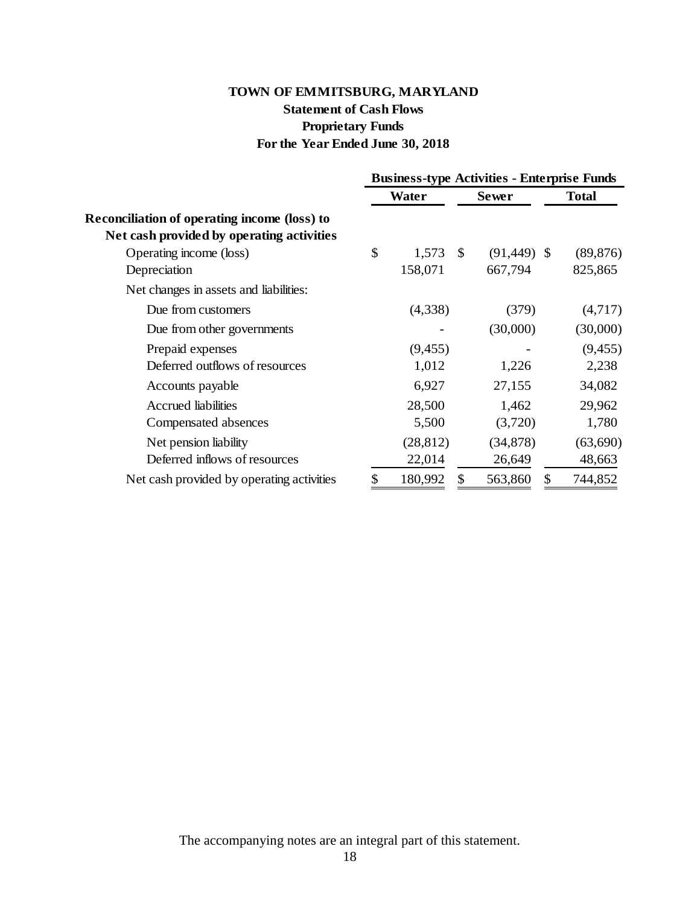# **For the Year Ended June 30, 2018 TOWN OF EMMITSBURG, MARYLAND Statement of Cash Flows Proprietary Funds**

|                                              | <b>Business-type Activities - Enterprise Funds</b> |           |              |                |  |              |
|----------------------------------------------|----------------------------------------------------|-----------|--------------|----------------|--|--------------|
|                                              |                                                    | Water     |              | <b>Sewer</b>   |  | <b>Total</b> |
| Reconciliation of operating income (loss) to |                                                    |           |              |                |  |              |
| Net cash provided by operating activities    |                                                    |           |              |                |  |              |
| Operating income (loss)                      | \$                                                 | 1,573     | $\mathbb{S}$ | $(91, 449)$ \$ |  | (89, 876)    |
| Depreciation                                 |                                                    | 158,071   |              | 667,794        |  | 825,865      |
| Net changes in assets and liabilities:       |                                                    |           |              |                |  |              |
| Due from customers                           |                                                    | (4,338)   |              | (379)          |  | (4,717)      |
| Due from other governments                   |                                                    |           |              | (30,000)       |  | (30,000)     |
| Prepaid expenses                             |                                                    | (9, 455)  |              |                |  | (9, 455)     |
| Deferred outflows of resources               |                                                    | 1,012     |              | 1,226          |  | 2,238        |
| Accounts payable                             |                                                    | 6,927     |              | 27,155         |  | 34,082       |
| <b>Accrued liabilities</b>                   |                                                    | 28,500    |              | 1,462          |  | 29,962       |
| Compensated absences                         |                                                    | 5,500     |              | (3,720)        |  | 1,780        |
| Net pension liability                        |                                                    | (28, 812) |              | (34, 878)      |  | (63,690)     |
| Deferred inflows of resources                |                                                    | 22,014    |              | 26,649         |  | 48,663       |
| Net cash provided by operating activities    | \$                                                 | 180,992   |              | 563,860<br>\$  |  | 744,852      |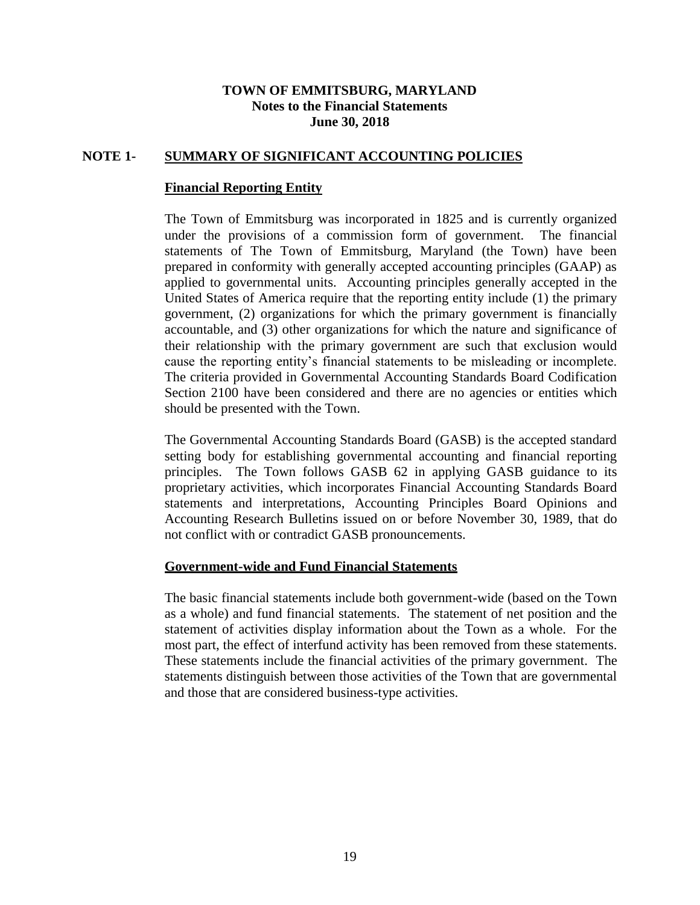#### **NOTE 1- SUMMARY OF SIGNIFICANT ACCOUNTING POLICIES**

#### **Financial Reporting Entity**

The Town of Emmitsburg was incorporated in 1825 and is currently organized under the provisions of a commission form of government. The financial statements of The Town of Emmitsburg, Maryland (the Town) have been prepared in conformity with generally accepted accounting principles (GAAP) as applied to governmental units. Accounting principles generally accepted in the United States of America require that the reporting entity include (1) the primary government, (2) organizations for which the primary government is financially accountable, and (3) other organizations for which the nature and significance of their relationship with the primary government are such that exclusion would cause the reporting entity's financial statements to be misleading or incomplete. The criteria provided in Governmental Accounting Standards Board Codification Section 2100 have been considered and there are no agencies or entities which should be presented with the Town.

The Governmental Accounting Standards Board (GASB) is the accepted standard setting body for establishing governmental accounting and financial reporting principles. The Town follows GASB 62 in applying GASB guidance to its proprietary activities, which incorporates Financial Accounting Standards Board statements and interpretations, Accounting Principles Board Opinions and Accounting Research Bulletins issued on or before November 30, 1989, that do not conflict with or contradict GASB pronouncements.

#### **Government-wide and Fund Financial Statements**

The basic financial statements include both government-wide (based on the Town as a whole) and fund financial statements. The statement of net position and the statement of activities display information about the Town as a whole. For the most part, the effect of interfund activity has been removed from these statements. These statements include the financial activities of the primary government. The statements distinguish between those activities of the Town that are governmental and those that are considered business-type activities.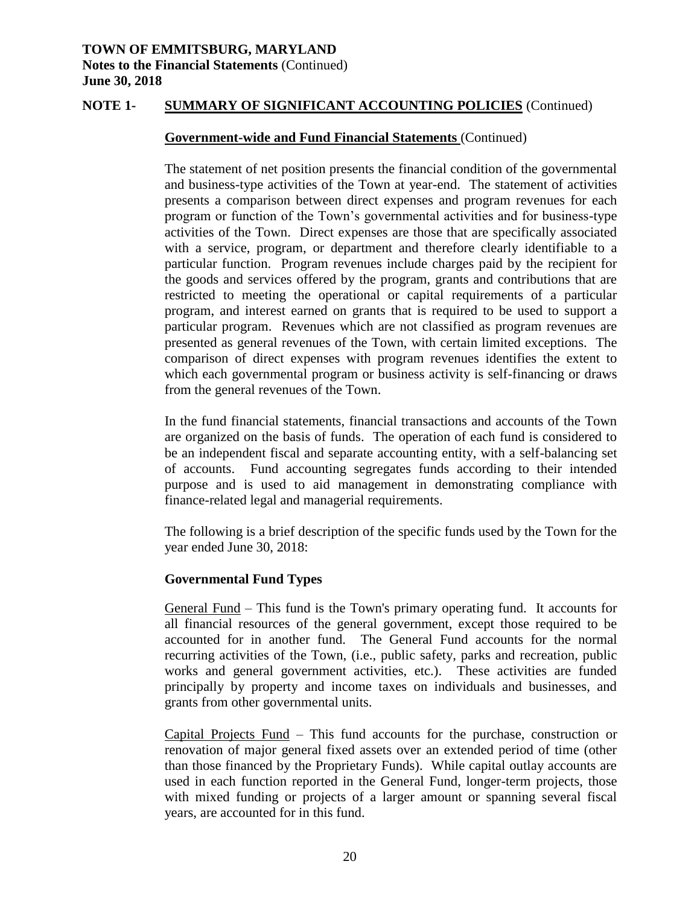#### **Government-wide and Fund Financial Statements** (Continued)

The statement of net position presents the financial condition of the governmental and business-type activities of the Town at year-end. The statement of activities presents a comparison between direct expenses and program revenues for each program or function of the Town's governmental activities and for business-type activities of the Town. Direct expenses are those that are specifically associated with a service, program, or department and therefore clearly identifiable to a particular function. Program revenues include charges paid by the recipient for the goods and services offered by the program, grants and contributions that are restricted to meeting the operational or capital requirements of a particular program, and interest earned on grants that is required to be used to support a particular program. Revenues which are not classified as program revenues are presented as general revenues of the Town, with certain limited exceptions. The comparison of direct expenses with program revenues identifies the extent to which each governmental program or business activity is self-financing or draws from the general revenues of the Town.

In the fund financial statements, financial transactions and accounts of the Town are organized on the basis of funds. The operation of each fund is considered to be an independent fiscal and separate accounting entity, with a self-balancing set of accounts. Fund accounting segregates funds according to their intended purpose and is used to aid management in demonstrating compliance with finance-related legal and managerial requirements.

The following is a brief description of the specific funds used by the Town for the year ended June 30, 2018:

#### **Governmental Fund Types**

General Fund – This fund is the Town's primary operating fund. It accounts for all financial resources of the general government, except those required to be accounted for in another fund. The General Fund accounts for the normal recurring activities of the Town, (i.e., public safety, parks and recreation, public works and general government activities, etc.). These activities are funded principally by property and income taxes on individuals and businesses, and grants from other governmental units.

Capital Projects Fund – This fund accounts for the purchase, construction or renovation of major general fixed assets over an extended period of time (other than those financed by the Proprietary Funds). While capital outlay accounts are used in each function reported in the General Fund, longer-term projects, those with mixed funding or projects of a larger amount or spanning several fiscal years, are accounted for in this fund.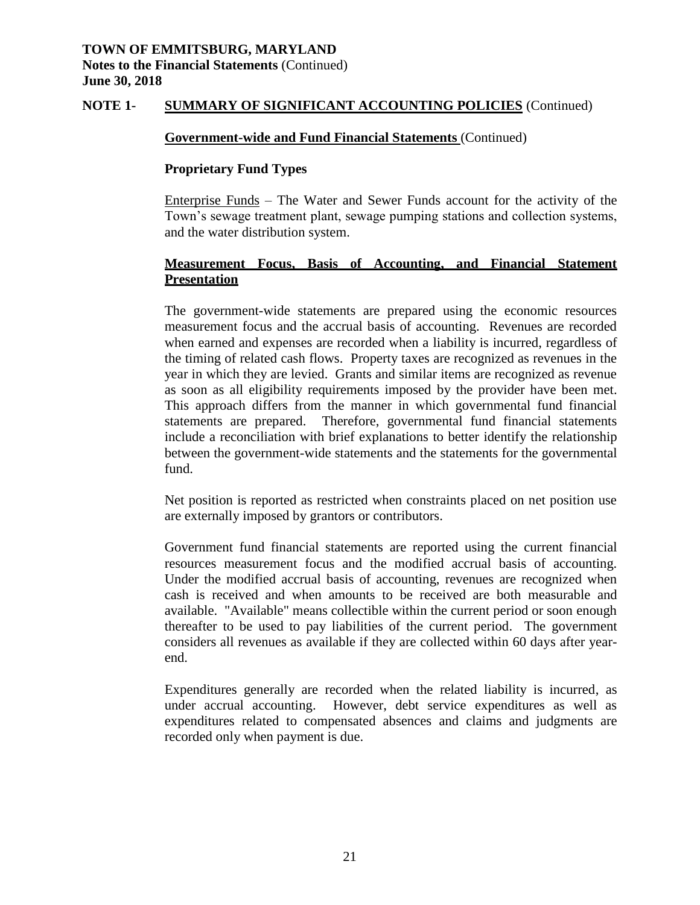#### **Government-wide and Fund Financial Statements** (Continued)

#### **Proprietary Fund Types**

Enterprise Funds – The Water and Sewer Funds account for the activity of the Town's sewage treatment plant, sewage pumping stations and collection systems, and the water distribution system.

## **Measurement Focus, Basis of Accounting, and Financial Statement Presentation**

The government-wide statements are prepared using the economic resources measurement focus and the accrual basis of accounting. Revenues are recorded when earned and expenses are recorded when a liability is incurred, regardless of the timing of related cash flows. Property taxes are recognized as revenues in the year in which they are levied. Grants and similar items are recognized as revenue as soon as all eligibility requirements imposed by the provider have been met. This approach differs from the manner in which governmental fund financial statements are prepared. Therefore, governmental fund financial statements include a reconciliation with brief explanations to better identify the relationship between the government-wide statements and the statements for the governmental fund.

Net position is reported as restricted when constraints placed on net position use are externally imposed by grantors or contributors.

Government fund financial statements are reported using the current financial resources measurement focus and the modified accrual basis of accounting. Under the modified accrual basis of accounting, revenues are recognized when cash is received and when amounts to be received are both measurable and available. "Available" means collectible within the current period or soon enough thereafter to be used to pay liabilities of the current period. The government considers all revenues as available if they are collected within 60 days after yearend.

Expenditures generally are recorded when the related liability is incurred, as under accrual accounting. However, debt service expenditures as well as expenditures related to compensated absences and claims and judgments are recorded only when payment is due.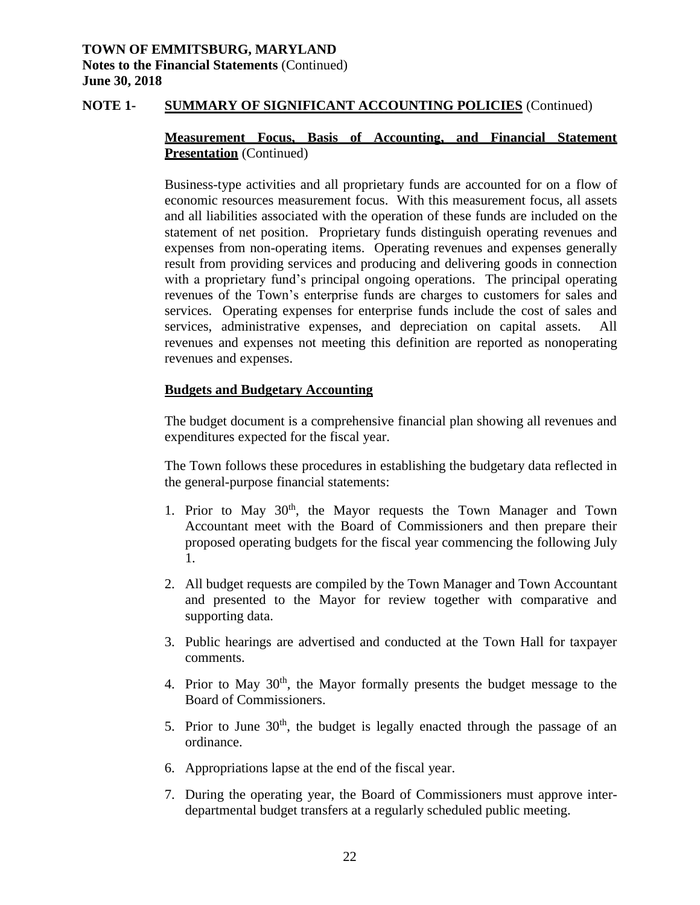## **NOTE 1- SUMMARY OF SIGNIFICANT ACCOUNTING POLICIES** (Continued)

## **Measurement Focus, Basis of Accounting, and Financial Statement Presentation** (Continued)

Business-type activities and all proprietary funds are accounted for on a flow of economic resources measurement focus. With this measurement focus, all assets and all liabilities associated with the operation of these funds are included on the statement of net position. Proprietary funds distinguish operating revenues and expenses from non-operating items. Operating revenues and expenses generally result from providing services and producing and delivering goods in connection with a proprietary fund's principal ongoing operations. The principal operating revenues of the Town's enterprise funds are charges to customers for sales and services. Operating expenses for enterprise funds include the cost of sales and services, administrative expenses, and depreciation on capital assets. All revenues and expenses not meeting this definition are reported as nonoperating revenues and expenses.

#### **Budgets and Budgetary Accounting**

The budget document is a comprehensive financial plan showing all revenues and expenditures expected for the fiscal year.

The Town follows these procedures in establishing the budgetary data reflected in the general-purpose financial statements:

- 1. Prior to May  $30<sup>th</sup>$ , the Mayor requests the Town Manager and Town Accountant meet with the Board of Commissioners and then prepare their proposed operating budgets for the fiscal year commencing the following July 1.
- 2. All budget requests are compiled by the Town Manager and Town Accountant and presented to the Mayor for review together with comparative and supporting data.
- 3. Public hearings are advertised and conducted at the Town Hall for taxpayer comments.
- 4. Prior to May  $30<sup>th</sup>$ , the Mayor formally presents the budget message to the Board of Commissioners.
- 5. Prior to June  $30<sup>th</sup>$ , the budget is legally enacted through the passage of an ordinance.
- 6. Appropriations lapse at the end of the fiscal year.
- 7. During the operating year, the Board of Commissioners must approve interdepartmental budget transfers at a regularly scheduled public meeting.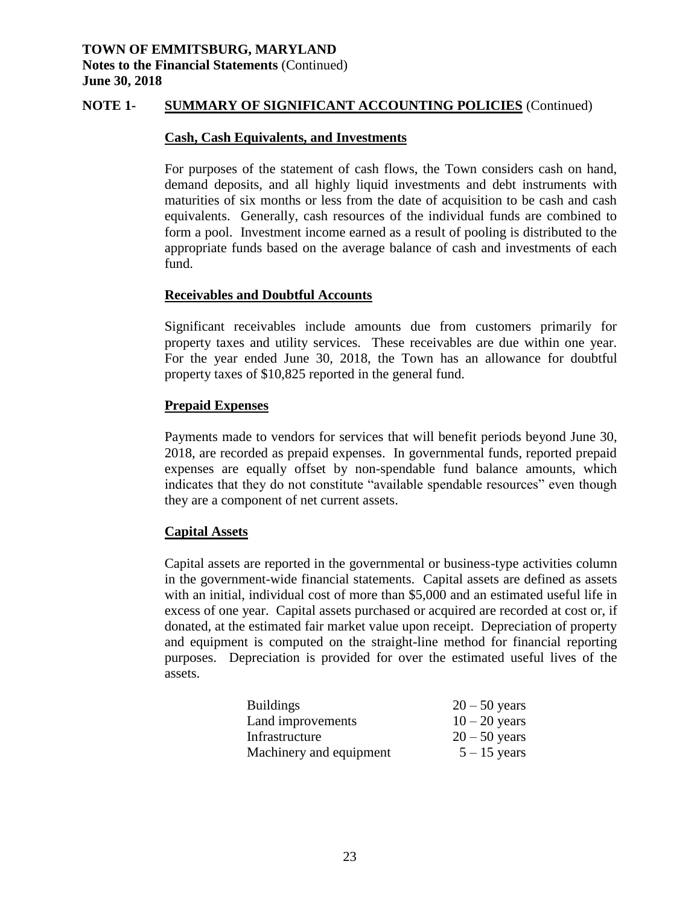#### **Cash, Cash Equivalents, and Investments**

For purposes of the statement of cash flows, the Town considers cash on hand, demand deposits, and all highly liquid investments and debt instruments with maturities of six months or less from the date of acquisition to be cash and cash equivalents. Generally, cash resources of the individual funds are combined to form a pool. Investment income earned as a result of pooling is distributed to the appropriate funds based on the average balance of cash and investments of each fund.

#### **Receivables and Doubtful Accounts**

Significant receivables include amounts due from customers primarily for property taxes and utility services. These receivables are due within one year. For the year ended June 30, 2018, the Town has an allowance for doubtful property taxes of \$10,825 reported in the general fund.

#### **Prepaid Expenses**

Payments made to vendors for services that will benefit periods beyond June 30, 2018, are recorded as prepaid expenses. In governmental funds, reported prepaid expenses are equally offset by non-spendable fund balance amounts, which indicates that they do not constitute "available spendable resources" even though they are a component of net current assets.

#### **Capital Assets**

Capital assets are reported in the governmental or business-type activities column in the government-wide financial statements. Capital assets are defined as assets with an initial, individual cost of more than \$5,000 and an estimated useful life in excess of one year. Capital assets purchased or acquired are recorded at cost or, if donated, at the estimated fair market value upon receipt. Depreciation of property and equipment is computed on the straight-line method for financial reporting purposes. Depreciation is provided for over the estimated useful lives of the assets.

| <b>Buildings</b>        | $20 - 50$ years |
|-------------------------|-----------------|
| Land improvements       | $10 - 20$ years |
| Infrastructure          | $20 - 50$ years |
| Machinery and equipment | $5 - 15$ years  |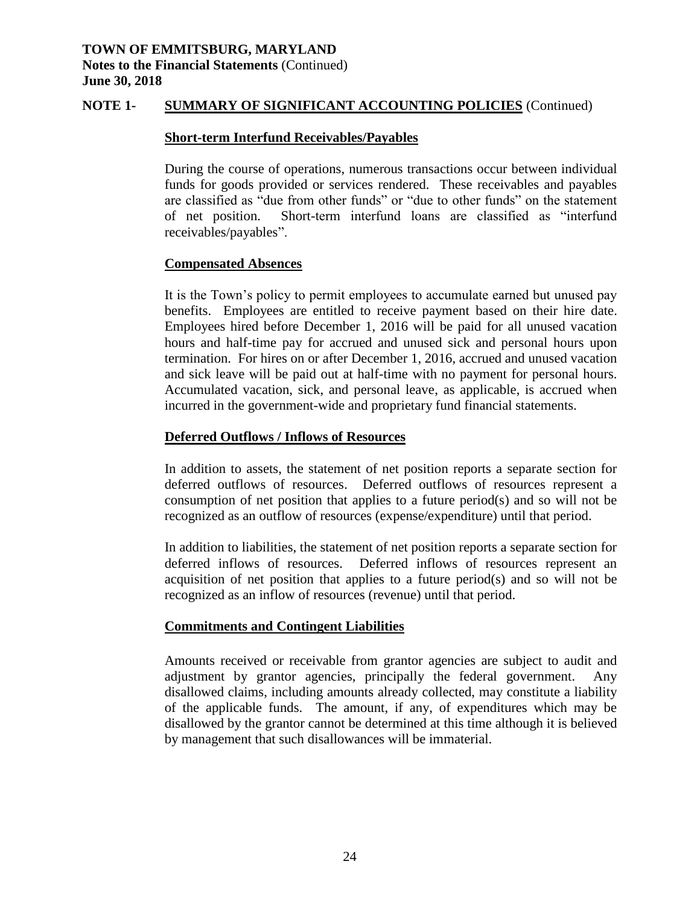#### **Short-term Interfund Receivables/Payables**

During the course of operations, numerous transactions occur between individual funds for goods provided or services rendered. These receivables and payables are classified as "due from other funds" or "due to other funds" on the statement of net position. Short-term interfund loans are classified as "interfund receivables/payables".

#### **Compensated Absences**

It is the Town's policy to permit employees to accumulate earned but unused pay benefits. Employees are entitled to receive payment based on their hire date. Employees hired before December 1, 2016 will be paid for all unused vacation hours and half-time pay for accrued and unused sick and personal hours upon termination. For hires on or after December 1, 2016, accrued and unused vacation and sick leave will be paid out at half-time with no payment for personal hours. Accumulated vacation, sick, and personal leave, as applicable, is accrued when incurred in the government-wide and proprietary fund financial statements.

#### **Deferred Outflows / Inflows of Resources**

In addition to assets, the statement of net position reports a separate section for deferred outflows of resources. Deferred outflows of resources represent a consumption of net position that applies to a future period(s) and so will not be recognized as an outflow of resources (expense/expenditure) until that period.

In addition to liabilities, the statement of net position reports a separate section for deferred inflows of resources. Deferred inflows of resources represent an acquisition of net position that applies to a future period(s) and so will not be recognized as an inflow of resources (revenue) until that period.

#### **Commitments and Contingent Liabilities**

Amounts received or receivable from grantor agencies are subject to audit and adjustment by grantor agencies, principally the federal government. Any disallowed claims, including amounts already collected, may constitute a liability of the applicable funds. The amount, if any, of expenditures which may be disallowed by the grantor cannot be determined at this time although it is believed by management that such disallowances will be immaterial.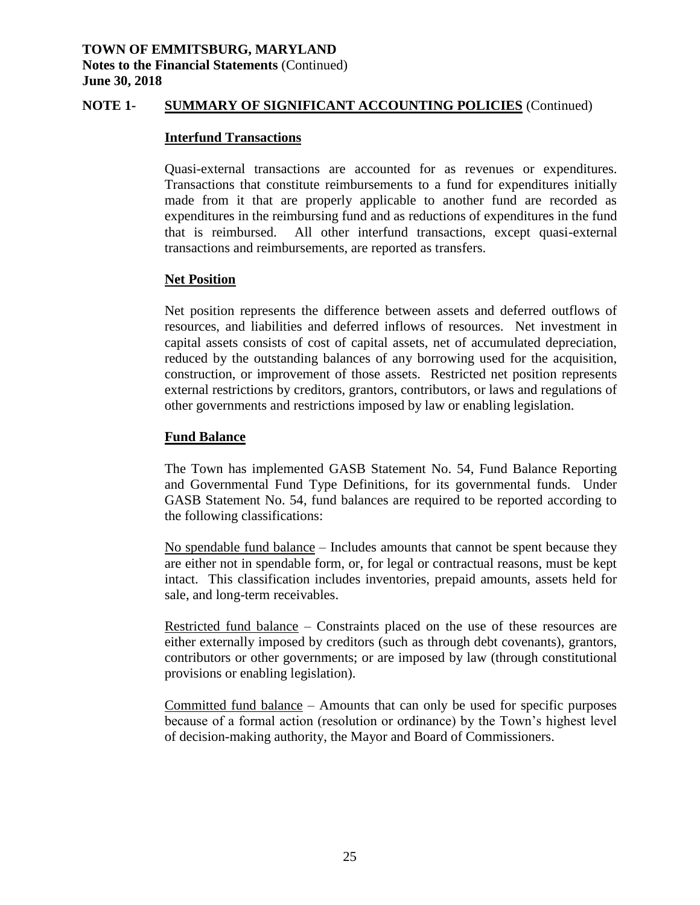### **Interfund Transactions**

Quasi-external transactions are accounted for as revenues or expenditures. Transactions that constitute reimbursements to a fund for expenditures initially made from it that are properly applicable to another fund are recorded as expenditures in the reimbursing fund and as reductions of expenditures in the fund that is reimbursed. All other interfund transactions, except quasi-external transactions and reimbursements, are reported as transfers.

## **Net Position**

Net position represents the difference between assets and deferred outflows of resources, and liabilities and deferred inflows of resources. Net investment in capital assets consists of cost of capital assets, net of accumulated depreciation, reduced by the outstanding balances of any borrowing used for the acquisition, construction, or improvement of those assets. Restricted net position represents external restrictions by creditors, grantors, contributors, or laws and regulations of other governments and restrictions imposed by law or enabling legislation.

## **Fund Balance**

The Town has implemented GASB Statement No. 54, Fund Balance Reporting and Governmental Fund Type Definitions, for its governmental funds. Under GASB Statement No. 54, fund balances are required to be reported according to the following classifications:

No spendable fund balance – Includes amounts that cannot be spent because they are either not in spendable form, or, for legal or contractual reasons, must be kept intact. This classification includes inventories, prepaid amounts, assets held for sale, and long-term receivables.

Restricted fund balance – Constraints placed on the use of these resources are either externally imposed by creditors (such as through debt covenants), grantors, contributors or other governments; or are imposed by law (through constitutional provisions or enabling legislation).

Committed fund balance – Amounts that can only be used for specific purposes because of a formal action (resolution or ordinance) by the Town's highest level of decision-making authority, the Mayor and Board of Commissioners.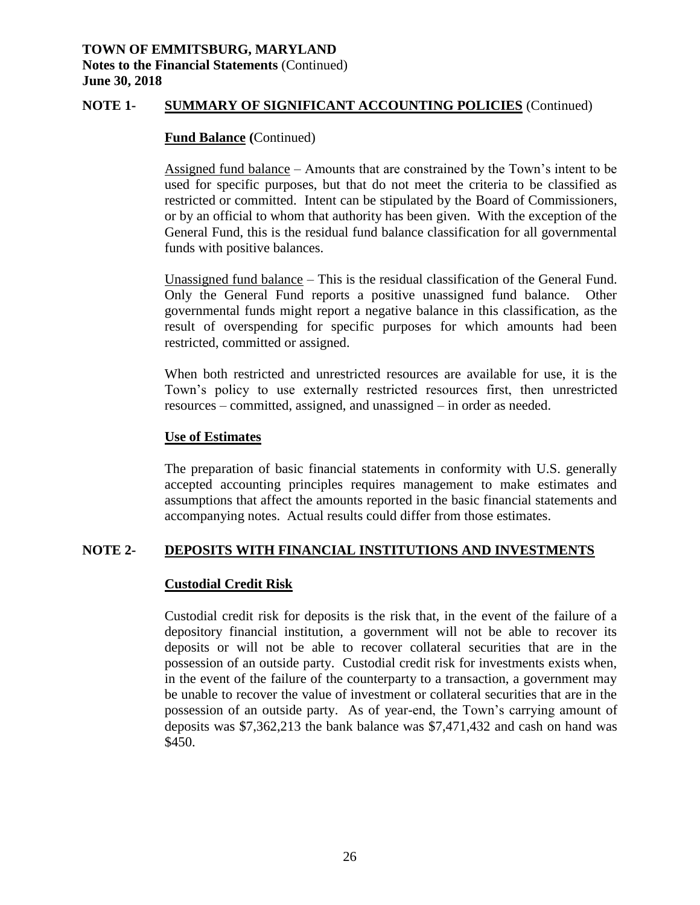## **NOTE 1- SUMMARY OF SIGNIFICANT ACCOUNTING POLICIES** (Continued)

#### **Fund Balance (**Continued)

Assigned fund balance – Amounts that are constrained by the Town's intent to be used for specific purposes, but that do not meet the criteria to be classified as restricted or committed. Intent can be stipulated by the Board of Commissioners, or by an official to whom that authority has been given. With the exception of the General Fund, this is the residual fund balance classification for all governmental funds with positive balances.

Unassigned fund balance – This is the residual classification of the General Fund. Only the General Fund reports a positive unassigned fund balance. Other governmental funds might report a negative balance in this classification, as the result of overspending for specific purposes for which amounts had been restricted, committed or assigned.

When both restricted and unrestricted resources are available for use, it is the Town's policy to use externally restricted resources first, then unrestricted resources – committed, assigned, and unassigned – in order as needed.

#### **Use of Estimates**

The preparation of basic financial statements in conformity with U.S. generally accepted accounting principles requires management to make estimates and assumptions that affect the amounts reported in the basic financial statements and accompanying notes. Actual results could differ from those estimates.

#### **NOTE 2- DEPOSITS WITH FINANCIAL INSTITUTIONS AND INVESTMENTS**

#### **Custodial Credit Risk**

Custodial credit risk for deposits is the risk that, in the event of the failure of a depository financial institution, a government will not be able to recover its deposits or will not be able to recover collateral securities that are in the possession of an outside party. Custodial credit risk for investments exists when, in the event of the failure of the counterparty to a transaction, a government may be unable to recover the value of investment or collateral securities that are in the possession of an outside party. As of year-end, the Town's carrying amount of deposits was \$7,362,213 the bank balance was \$7,471,432 and cash on hand was \$450.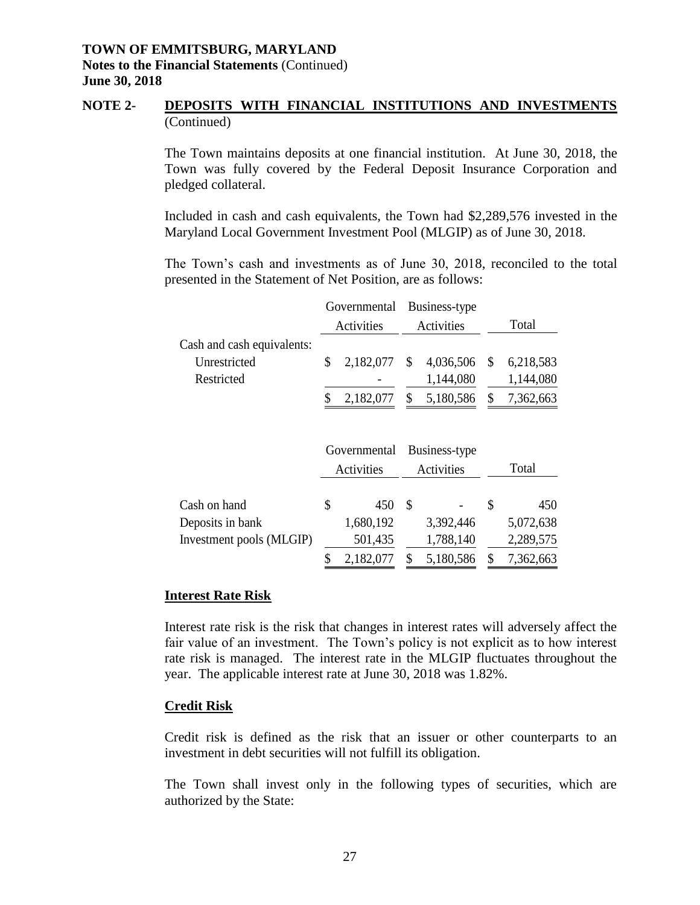## **NOTE 2- DEPOSITS WITH FINANCIAL INSTITUTIONS AND INVESTMENTS** (Continued)

The Town maintains deposits at one financial institution. At June 30, 2018, the Town was fully covered by the Federal Deposit Insurance Corporation and pledged collateral.

Included in cash and cash equivalents, the Town had \$2,289,576 invested in the Maryland Local Government Investment Pool (MLGIP) as of June 30, 2018.

The Town's cash and investments as of June 30, 2018, reconciled to the total presented in the Statement of Net Position, are as follows:

|                            | Governmental             |    | Business-type |       |           |
|----------------------------|--------------------------|----|---------------|-------|-----------|
|                            | Activities<br>Activities |    |               | Total |           |
| Cash and cash equivalents: |                          |    |               |       |           |
| Unrestricted               | \$<br>2,182,077          | \$ | 4,036,506     | \$    | 6,218,583 |
| Restricted                 |                          |    | 1,144,080     |       | 1,144,080 |
|                            | \$<br>2,182,077          | \$ | 5,180,586     | \$    | 7,362,663 |
|                            | Governmental             |    | Business-type |       |           |
|                            | Activities               |    | Activities    |       | Total     |
| Cash on hand               | \$<br>450                | \$ |               | \$    | 450       |
| Deposits in bank           | 1,680,192                |    | 3,392,446     |       | 5,072,638 |
| Investment pools (MLGIP)   | 501,435                  |    | 1,788,140     |       | 2,289,575 |
|                            | \$<br>2,182,077          | \$ | 5,180,586     | S     | 7,362,663 |

#### **Interest Rate Risk**

Interest rate risk is the risk that changes in interest rates will adversely affect the fair value of an investment. The Town's policy is not explicit as to how interest rate risk is managed. The interest rate in the MLGIP fluctuates throughout the year. The applicable interest rate at June 30, 2018 was 1.82%.

#### **Credit Risk**

Credit risk is defined as the risk that an issuer or other counterparts to an investment in debt securities will not fulfill its obligation.

The Town shall invest only in the following types of securities, which are authorized by the State: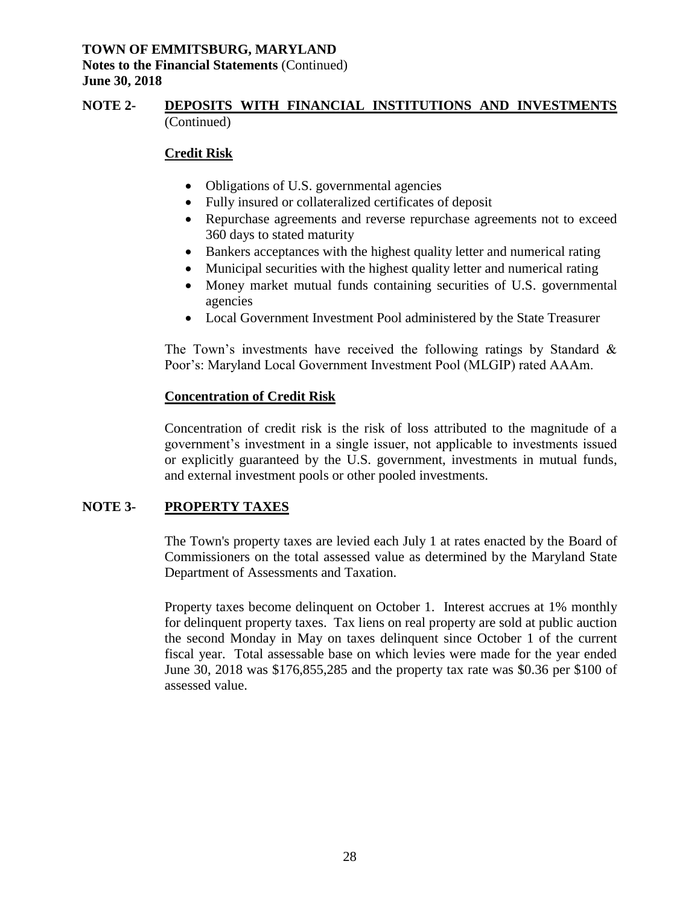## **NOTE 2- DEPOSITS WITH FINANCIAL INSTITUTIONS AND INVESTMENTS** (Continued)

### **Credit Risk**

- Obligations of U.S. governmental agencies
- Fully insured or collateralized certificates of deposit
- Repurchase agreements and reverse repurchase agreements not to exceed 360 days to stated maturity
- Bankers acceptances with the highest quality letter and numerical rating
- Municipal securities with the highest quality letter and numerical rating
- Money market mutual funds containing securities of U.S. governmental agencies
- Local Government Investment Pool administered by the State Treasurer

The Town's investments have received the following ratings by Standard  $\&$ Poor's: Maryland Local Government Investment Pool (MLGIP) rated AAAm.

## **Concentration of Credit Risk**

Concentration of credit risk is the risk of loss attributed to the magnitude of a government's investment in a single issuer, not applicable to investments issued or explicitly guaranteed by the U.S. government, investments in mutual funds, and external investment pools or other pooled investments.

#### **NOTE 3- PROPERTY TAXES**

The Town's property taxes are levied each July 1 at rates enacted by the Board of Commissioners on the total assessed value as determined by the Maryland State Department of Assessments and Taxation.

Property taxes become delinquent on October 1. Interest accrues at 1% monthly for delinquent property taxes. Tax liens on real property are sold at public auction the second Monday in May on taxes delinquent since October 1 of the current fiscal year. Total assessable base on which levies were made for the year ended June 30, 2018 was \$176,855,285 and the property tax rate was \$0.36 per \$100 of assessed value.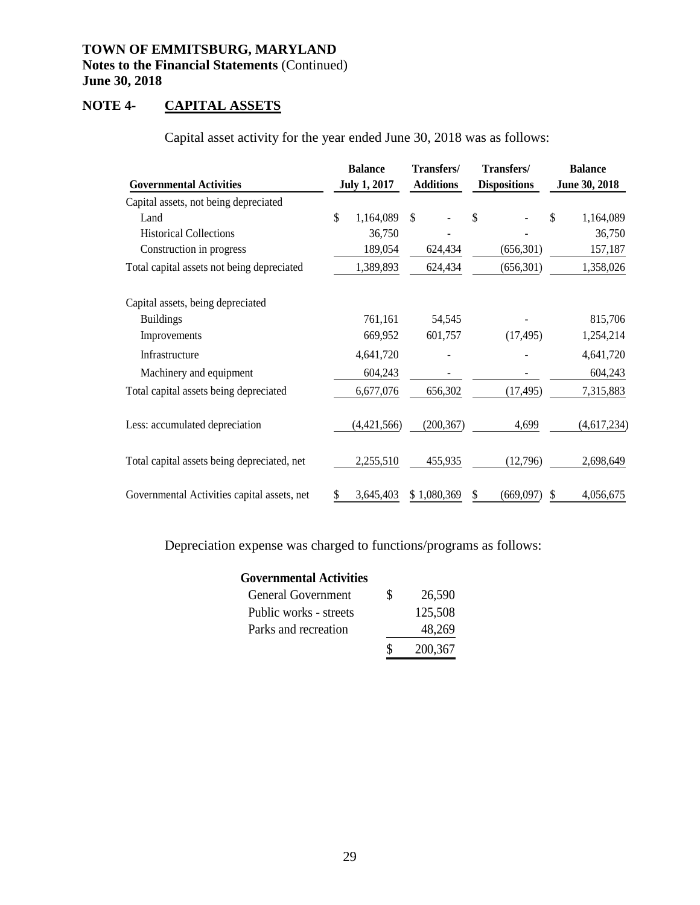## **NOTE 4- CAPITAL ASSETS**

| <b>Governmental Activities</b>              | <b>Balance</b><br><b>July 1, 2017</b> |             | Transfers/<br><b>Additions</b> |             | Transfers/<br><b>Dispositions</b> |            |    | <b>Balance</b><br>June 30, 2018 |
|---------------------------------------------|---------------------------------------|-------------|--------------------------------|-------------|-----------------------------------|------------|----|---------------------------------|
| Capital assets, not being depreciated       |                                       |             |                                |             |                                   |            |    |                                 |
| Land                                        | \$                                    | 1,164,089   | \$                             |             | \$                                |            | \$ | 1,164,089                       |
| <b>Historical Collections</b>               |                                       | 36,750      |                                |             |                                   |            |    | 36,750                          |
| Construction in progress                    |                                       | 189,054     |                                | 624,434     |                                   | (656, 301) |    | 157,187                         |
| Total capital assets not being depreciated  |                                       | 1,389,893   |                                | 624,434     |                                   | (656, 301) |    | 1,358,026                       |
| Capital assets, being depreciated           |                                       |             |                                |             |                                   |            |    |                                 |
| <b>Buildings</b>                            |                                       | 761,161     |                                | 54,545      |                                   |            |    | 815,706                         |
| Improvements                                |                                       | 669,952     |                                | 601,757     |                                   | (17, 495)  |    | 1,254,214                       |
| Infrastructure                              |                                       | 4,641,720   |                                |             |                                   |            |    | 4,641,720                       |
| Machinery and equipment                     |                                       | 604,243     |                                |             |                                   |            |    | 604,243                         |
| Total capital assets being depreciated      |                                       | 6,677,076   |                                | 656,302     |                                   | (17, 495)  |    | 7,315,883                       |
| Less: accumulated depreciation              |                                       | (4,421,566) |                                | (200, 367)  |                                   | 4,699      |    | (4,617,234)                     |
| Total capital assets being depreciated, net |                                       | 2,255,510   |                                | 455,935     |                                   | (12,796)   |    | 2,698,649                       |
| Governmental Activities capital assets, net | S                                     | 3,645,403   |                                | \$1,080,369 | \$                                | (669,097)  | S  | 4,056,675                       |

Capital asset activity for the year ended June 30, 2018 was as follows:

Depreciation expense was charged to functions/programs as follows:

## **Governmental Activities**

| <b>General Government</b> | S  | 26,590  |
|---------------------------|----|---------|
| Public works - streets    |    | 125,508 |
| Parks and recreation      |    | 48,269  |
|                           | £. | 200,367 |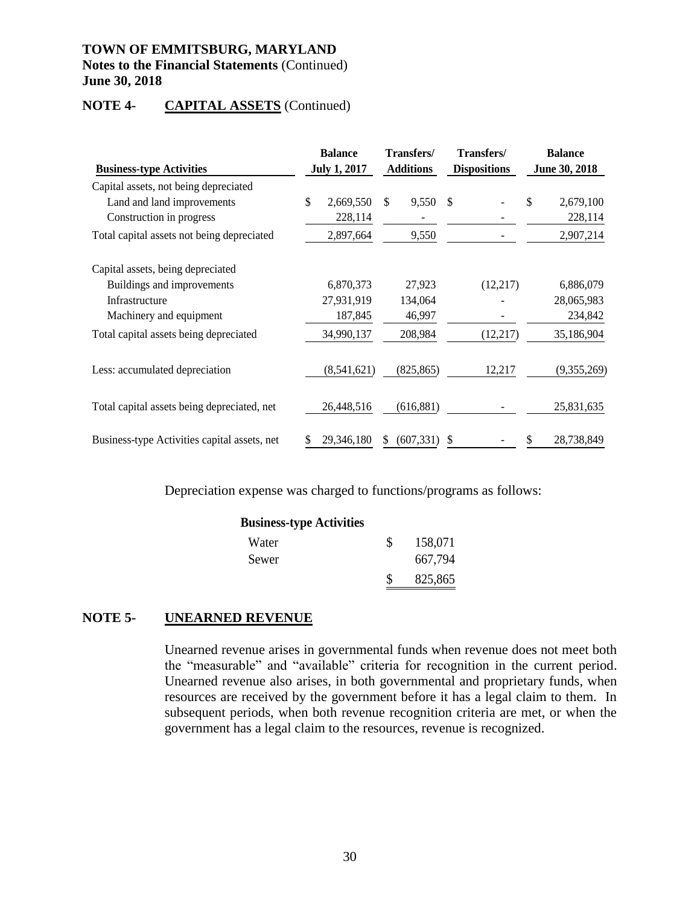## **NOTE 4- CAPITAL ASSETS** (Continued)

| <b>Business-type Activities</b>              | <b>Balance</b><br><b>July 1, 2017</b> | Transfers/<br><b>Additions</b> | Transfers/<br><b>Dispositions</b> | <b>Balance</b><br>June 30, 2018 |  |
|----------------------------------------------|---------------------------------------|--------------------------------|-----------------------------------|---------------------------------|--|
| Capital assets, not being depreciated        |                                       |                                |                                   |                                 |  |
| Land and land improvements                   | \$<br>2,669,550                       | 9,550<br>\$.                   | -\$                               | \$<br>2,679,100                 |  |
| Construction in progress                     | 228,114                               |                                |                                   | 228,114                         |  |
| Total capital assets not being depreciated   | 2,897,664                             | 9,550                          |                                   | 2,907,214                       |  |
| Capital assets, being depreciated            |                                       |                                |                                   |                                 |  |
| Buildings and improvements                   | 6,870,373                             | 27,923                         | (12,217)                          | 6,886,079                       |  |
| Infrastructure                               | 27,931,919                            | 134,064                        |                                   | 28,065,983                      |  |
| Machinery and equipment                      | 187,845                               | 46,997                         |                                   | 234,842                         |  |
| Total capital assets being depreciated       | 34,990,137                            | 208,984                        | (12, 217)                         | 35,186,904                      |  |
| Less: accumulated depreciation               | (8,541,621)                           | (825, 865)                     | 12,217                            | (9,355,269)                     |  |
| Total capital assets being depreciated, net  | 26,448,516                            | (616, 881)                     |                                   | 25,831,635                      |  |
| Business-type Activities capital assets, net | 29,346,180                            | (607, 331)                     | S                                 | 28,738,849                      |  |

Depreciation expense was charged to functions/programs as follows:

| <b>Business-type Activities</b> |    |         |
|---------------------------------|----|---------|
| Water                           | S. | 158,071 |
| Sewer                           |    | 667,794 |
|                                 | S  | 825,865 |

#### **NOTE 5- UNEARNED REVENUE**

Unearned revenue arises in governmental funds when revenue does not meet both the "measurable" and "available" criteria for recognition in the current period. Unearned revenue also arises, in both governmental and proprietary funds, when resources are received by the government before it has a legal claim to them. In subsequent periods, when both revenue recognition criteria are met, or when the government has a legal claim to the resources, revenue is recognized.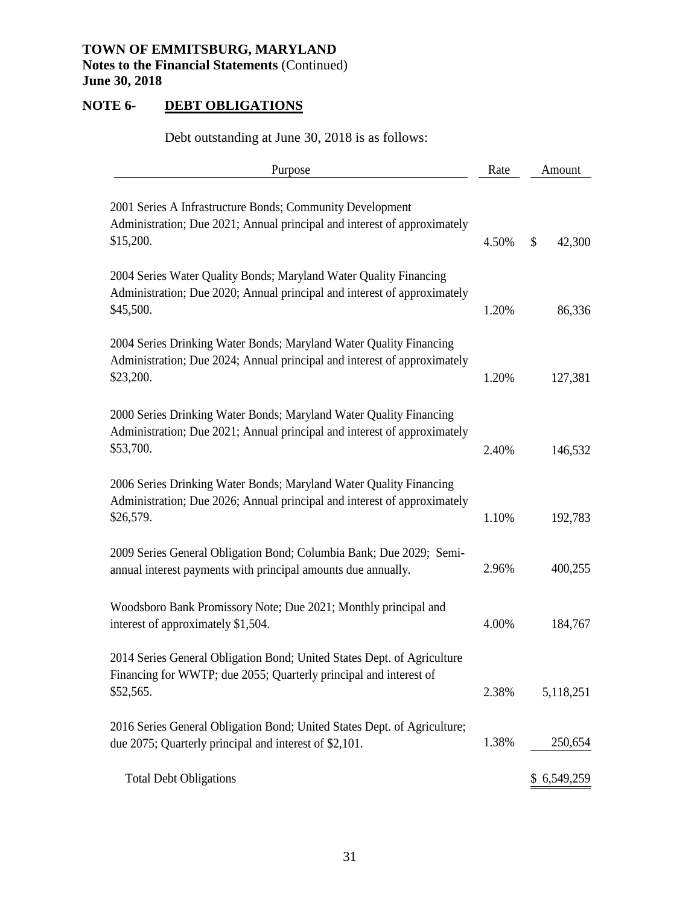## **NOTE 6- DEBT OBLIGATIONS**

Debt outstanding at June 30, 2018 is as follows:

| Purpose                                                                                                                                                     | Rate  | Amount                  |
|-------------------------------------------------------------------------------------------------------------------------------------------------------------|-------|-------------------------|
| 2001 Series A Infrastructure Bonds; Community Development<br>Administration; Due 2021; Annual principal and interest of approximately<br>\$15,200.          | 4.50% | $\mathcal{S}$<br>42,300 |
| 2004 Series Water Quality Bonds; Maryland Water Quality Financing<br>Administration; Due 2020; Annual principal and interest of approximately<br>\$45,500.  | 1.20% | 86,336                  |
| 2004 Series Drinking Water Bonds; Maryland Water Quality Financing<br>Administration; Due 2024; Annual principal and interest of approximately<br>\$23,200. | 1.20% | 127,381                 |
| 2000 Series Drinking Water Bonds; Maryland Water Quality Financing<br>Administration; Due 2021; Annual principal and interest of approximately<br>\$53,700. | 2.40% | 146,532                 |
| 2006 Series Drinking Water Bonds; Maryland Water Quality Financing<br>Administration; Due 2026; Annual principal and interest of approximately<br>\$26,579. | 1.10% | 192,783                 |
| 2009 Series General Obligation Bond; Columbia Bank; Due 2029; Semi-<br>annual interest payments with principal amounts due annually.                        | 2.96% | 400,255                 |
| Woodsboro Bank Promissory Note; Due 2021; Monthly principal and<br>interest of approximately \$1,504.                                                       | 4.00% | 184,767                 |
| 2014 Series General Obligation Bond; United States Dept. of Agriculture<br>Financing for WWTP; due 2055; Quarterly principal and interest of<br>\$52,565.   | 2.38% | 5,118,251               |
| 2016 Series General Obligation Bond; United States Dept. of Agriculture;<br>due 2075; Quarterly principal and interest of \$2,101.                          | 1.38% | 250,654                 |
| <b>Total Debt Obligations</b>                                                                                                                               |       | \$6,549,259             |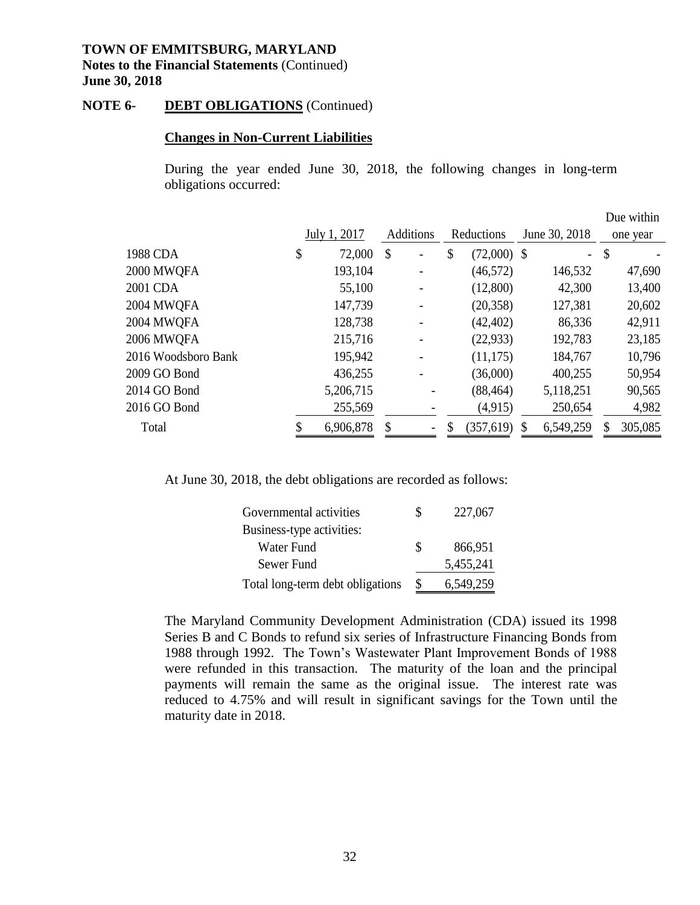#### **NOTE 6- DEBT OBLIGATIONS** (Continued)

#### **Changes in Non-Current Liabilities**

During the year ended June 30, 2018, the following changes in long-term obligations occurred:

|                     |              |               |                  |                     |                          |                           | Due within |
|---------------------|--------------|---------------|------------------|---------------------|--------------------------|---------------------------|------------|
|                     | July 1, 2017 |               | <b>Additions</b> | Reductions          | June 30, 2018            |                           | one year   |
| 1988 CDA            | \$<br>72,000 | $\mathcal{S}$ |                  | \$<br>$(72,000)$ \$ | $\overline{\phantom{0}}$ | $\boldsymbol{\mathsf{S}}$ |            |
| 2000 MWQFA          | 193,104      |               |                  | (46,572)            | 146,532                  |                           | 47,690     |
| 2001 CDA            | 55,100       |               |                  | (12,800)            | 42,300                   |                           | 13,400     |
| 2004 MWQFA          | 147,739      |               |                  | (20, 358)           | 127,381                  |                           | 20,602     |
| 2004 MWQFA          | 128,738      |               |                  | (42, 402)           | 86,336                   |                           | 42,911     |
| 2006 MWQFA          | 215,716      |               |                  | (22, 933)           | 192,783                  |                           | 23,185     |
| 2016 Woodsboro Bank | 195,942      |               |                  | (11, 175)           | 184,767                  |                           | 10,796     |
| 2009 GO Bond        | 436,255      |               |                  | (36,000)            | 400,255                  |                           | 50,954     |
| 2014 GO Bond        | 5,206,715    |               |                  | (88, 464)           | 5,118,251                |                           | 90,565     |
| 2016 GO Bond        | 255,569      |               |                  | (4,915)             | 250,654                  |                           | 4,982      |
| Total               | 6,906,878    | \$            |                  | (357, 619)          | 6,549,259                |                           | 305,085    |

At June 30, 2018, the debt obligations are recorded as follows:

| Governmental activities          | S | 227,067   |
|----------------------------------|---|-----------|
| Business-type activities:        |   |           |
| Water Fund                       | S | 866,951   |
| Sewer Fund                       |   | 5,455,241 |
| Total long-term debt obligations | S | 6,549,259 |

The Maryland Community Development Administration (CDA) issued its 1998 Series B and C Bonds to refund six series of Infrastructure Financing Bonds from 1988 through 1992. The Town's Wastewater Plant Improvement Bonds of 1988 were refunded in this transaction. The maturity of the loan and the principal payments will remain the same as the original issue. The interest rate was reduced to 4.75% and will result in significant savings for the Town until the maturity date in 2018.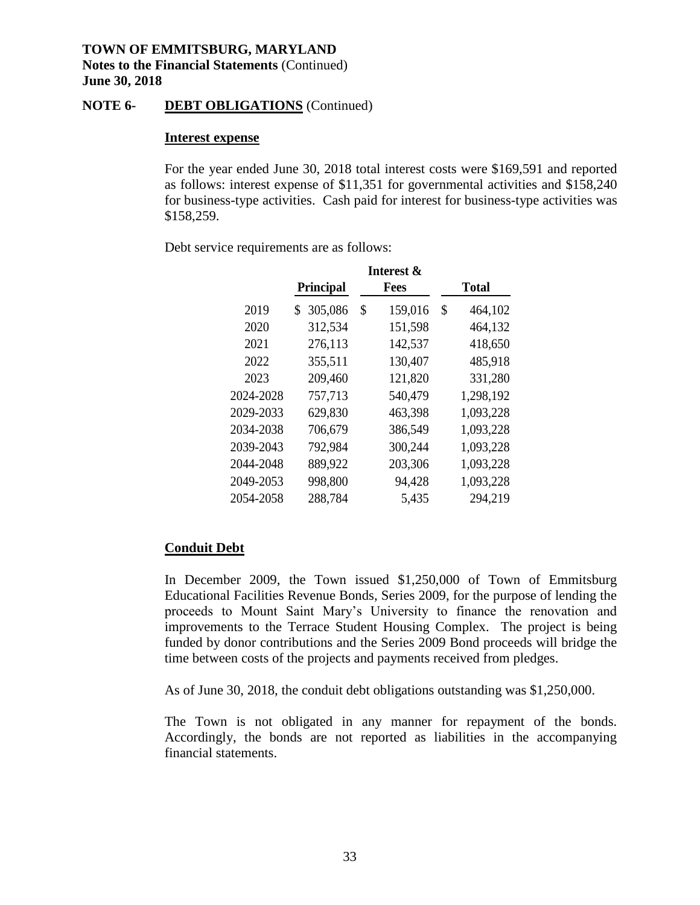#### **NOTE 6- DEBT OBLIGATIONS** (Continued)

#### **Interest expense**

For the year ended June 30, 2018 total interest costs were \$169,591 and reported as follows: interest expense of \$11,351 for governmental activities and \$158,240 for business-type activities. Cash paid for interest for business-type activities was \$158,259.

Debt service requirements are as follows:

|           |                  | Interest &    |               |
|-----------|------------------|---------------|---------------|
|           | <b>Principal</b> | <b>Fees</b>   | Total         |
| 2019      | \$<br>305,086    | \$<br>159,016 | \$<br>464,102 |
| 2020      | 312,534          | 151,598       | 464,132       |
| 2021      | 276,113          | 142,537       | 418,650       |
| 2022      | 355,511          | 130,407       | 485,918       |
| 2023      | 209,460          | 121,820       | 331,280       |
| 2024-2028 | 757,713          | 540,479       | 1,298,192     |
| 2029-2033 | 629,830          | 463,398       | 1,093,228     |
| 2034-2038 | 706,679          | 386,549       | 1,093,228     |
| 2039-2043 | 792,984          | 300,244       | 1,093,228     |
| 2044-2048 | 889,922          | 203,306       | 1,093,228     |
| 2049-2053 | 998,800          | 94,428        | 1,093,228     |
| 2054-2058 | 288,784          | 5,435         | 294,219       |

#### **Conduit Debt**

In December 2009, the Town issued \$1,250,000 of Town of Emmitsburg Educational Facilities Revenue Bonds, Series 2009, for the purpose of lending the proceeds to Mount Saint Mary's University to finance the renovation and improvements to the Terrace Student Housing Complex. The project is being funded by donor contributions and the Series 2009 Bond proceeds will bridge the time between costs of the projects and payments received from pledges.

As of June 30, 2018, the conduit debt obligations outstanding was \$1,250,000.

The Town is not obligated in any manner for repayment of the bonds. Accordingly, the bonds are not reported as liabilities in the accompanying financial statements.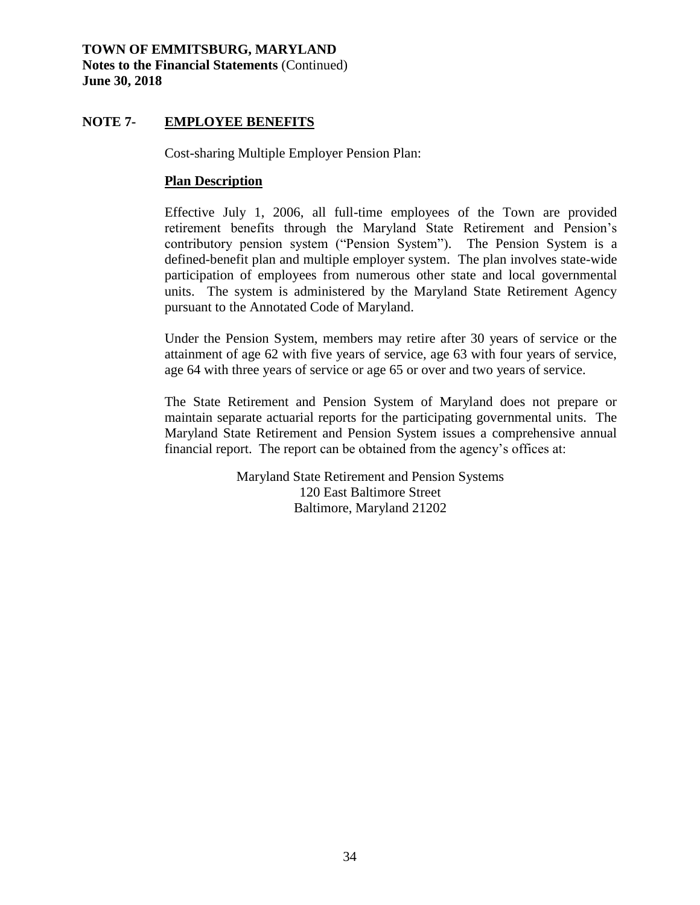## **NOTE 7- EMPLOYEE BENEFITS**

Cost-sharing Multiple Employer Pension Plan:

#### **Plan Description**

Effective July 1, 2006, all full-time employees of the Town are provided retirement benefits through the Maryland State Retirement and Pension's contributory pension system ("Pension System"). The Pension System is a defined-benefit plan and multiple employer system. The plan involves state-wide participation of employees from numerous other state and local governmental units. The system is administered by the Maryland State Retirement Agency pursuant to the Annotated Code of Maryland.

Under the Pension System, members may retire after 30 years of service or the attainment of age 62 with five years of service, age 63 with four years of service, age 64 with three years of service or age 65 or over and two years of service.

The State Retirement and Pension System of Maryland does not prepare or maintain separate actuarial reports for the participating governmental units. The Maryland State Retirement and Pension System issues a comprehensive annual financial report. The report can be obtained from the agency's offices at:

> Maryland State Retirement and Pension Systems 120 East Baltimore Street Baltimore, Maryland 21202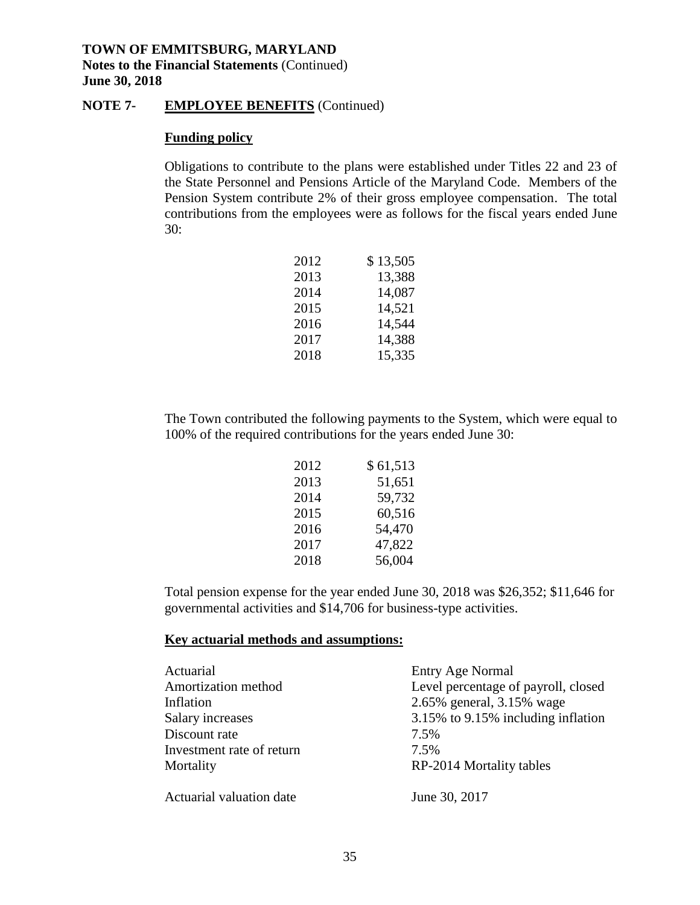#### **NOTE 7- EMPLOYEE BENEFITS** (Continued)

#### **Funding policy**

Obligations to contribute to the plans were established under Titles 22 and 23 of the State Personnel and Pensions Article of the Maryland Code. Members of the Pension System contribute 2% of their gross employee compensation. The total contributions from the employees were as follows for the fiscal years ended June 30:

| 2012 | \$13,505 |
|------|----------|
| 2013 | 13,388   |
| 2014 | 14,087   |
| 2015 | 14,521   |
| 2016 | 14,544   |
| 2017 | 14,388   |
| 2018 | 15,335   |

The Town contributed the following payments to the System, which were equal to 100% of the required contributions for the years ended June 30:

| 2012 | \$ 61,513 |
|------|-----------|
| 2013 | 51,651    |
| 2014 | 59,732    |
| 2015 | 60,516    |
| 2016 | 54,470    |
| 2017 | 47,822    |
| 2018 | 56,004    |

Total pension expense for the year ended June 30, 2018 was \$26,352; \$11,646 for governmental activities and \$14,706 for business-type activities.

#### **Key actuarial methods and assumptions:**

| <b>Entry Age Normal</b>             |
|-------------------------------------|
| Level percentage of payroll, closed |
| 2.65% general, 3.15% wage           |
| 3.15% to 9.15% including inflation  |
| 7.5%                                |
| 7.5%                                |
| RP-2014 Mortality tables            |
| June 30, 2017                       |
|                                     |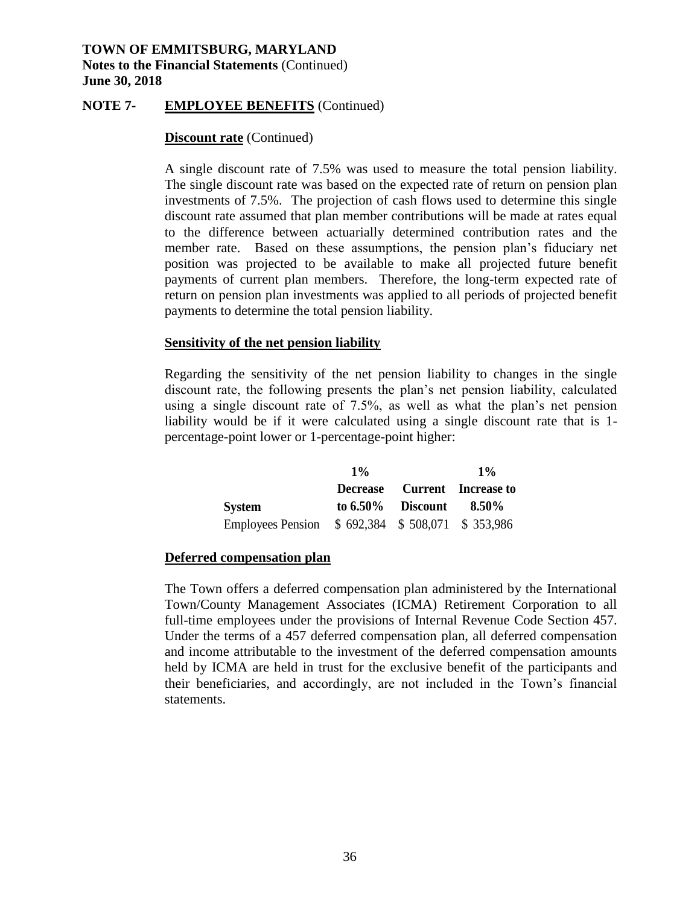#### **NOTE 7- EMPLOYEE BENEFITS** (Continued)

#### **Discount rate** (Continued)

A single discount rate of 7.5% was used to measure the total pension liability. The single discount rate was based on the expected rate of return on pension plan investments of 7.5%. The projection of cash flows used to determine this single discount rate assumed that plan member contributions will be made at rates equal to the difference between actuarially determined contribution rates and the member rate. Based on these assumptions, the pension plan's fiduciary net position was projected to be available to make all projected future benefit payments of current plan members. Therefore, the long-term expected rate of return on pension plan investments was applied to all periods of projected benefit payments to determine the total pension liability.

#### **Sensitivity of the net pension liability**

Regarding the sensitivity of the net pension liability to changes in the single discount rate, the following presents the plan's net pension liability, calculated using a single discount rate of 7.5%, as well as what the plan's net pension liability would be if it were calculated using a single discount rate that is 1 percentage-point lower or 1-percentage-point higher:

|                                                 | $1\%$ |                               | $1\%$                        |
|-------------------------------------------------|-------|-------------------------------|------------------------------|
|                                                 |       |                               | Decrease Current Increase to |
| <b>System</b>                                   |       | to $6.50\%$ Discount $8.50\%$ |                              |
| Employees Pension \$692,384 \$508,071 \$353,986 |       |                               |                              |

#### **Deferred compensation plan**

The Town offers a deferred compensation plan administered by the International Town/County Management Associates (ICMA) Retirement Corporation to all full-time employees under the provisions of Internal Revenue Code Section 457. Under the terms of a 457 deferred compensation plan, all deferred compensation and income attributable to the investment of the deferred compensation amounts held by ICMA are held in trust for the exclusive benefit of the participants and their beneficiaries, and accordingly, are not included in the Town's financial statements.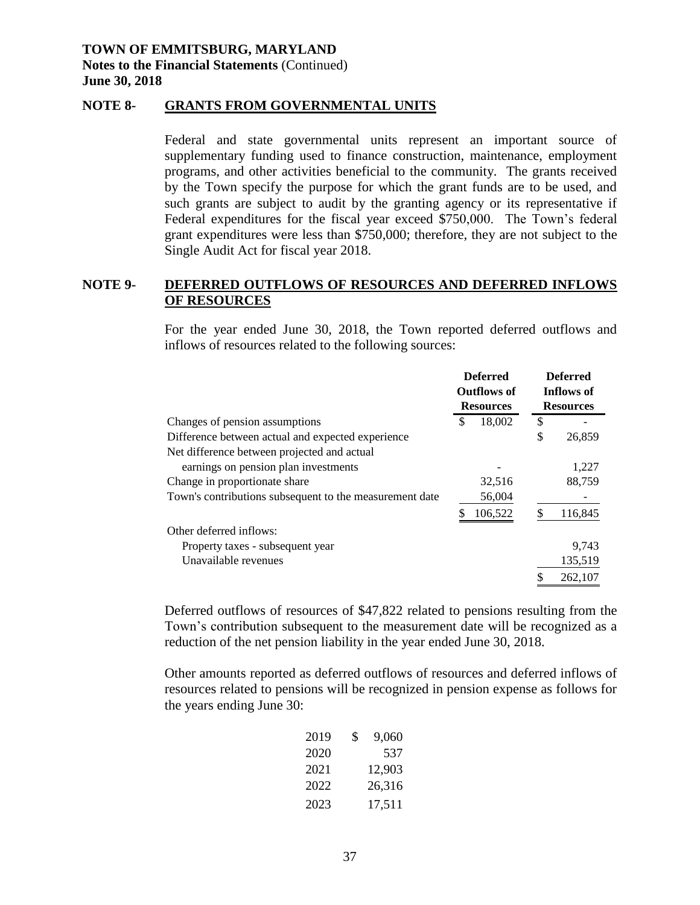#### **NOTE 8- GRANTS FROM GOVERNMENTAL UNITS**

Federal and state governmental units represent an important source of supplementary funding used to finance construction, maintenance, employment programs, and other activities beneficial to the community. The grants received by the Town specify the purpose for which the grant funds are to be used, and such grants are subject to audit by the granting agency or its representative if Federal expenditures for the fiscal year exceed \$750,000. The Town's federal grant expenditures were less than \$750,000; therefore, they are not subject to the Single Audit Act for fiscal year 2018.

## **NOTE 9- DEFERRED OUTFLOWS OF RESOURCES AND DEFERRED INFLOWS OF RESOURCES**

For the year ended June 30, 2018, the Town reported deferred outflows and inflows of resources related to the following sources:

|                                                         |   | <b>Deferred</b><br><b>Outflows of</b><br><b>Resources</b> | <b>Deferred</b><br>Inflows of<br><b>Resources</b> |         |  |  |
|---------------------------------------------------------|---|-----------------------------------------------------------|---------------------------------------------------|---------|--|--|
| Changes of pension assumptions                          | S | 18,002                                                    | \$                                                |         |  |  |
| Difference between actual and expected experience       |   |                                                           | \$                                                | 26,859  |  |  |
| Net difference between projected and actual             |   |                                                           |                                                   |         |  |  |
| earnings on pension plan investments                    |   |                                                           |                                                   | 1,227   |  |  |
| Change in proportionate share                           |   | 32,516                                                    |                                                   | 88,759  |  |  |
| Town's contributions subsequent to the measurement date |   | 56,004                                                    |                                                   |         |  |  |
|                                                         |   | 106,522                                                   | \$                                                | 116,845 |  |  |
| Other deferred inflows:                                 |   |                                                           |                                                   |         |  |  |
| Property taxes - subsequent year                        |   |                                                           |                                                   | 9.743   |  |  |
| Unavailable revenues                                    |   |                                                           |                                                   | 135,519 |  |  |
|                                                         |   |                                                           | S                                                 | 262,107 |  |  |

Deferred outflows of resources of \$47,822 related to pensions resulting from the Town's contribution subsequent to the measurement date will be recognized as a reduction of the net pension liability in the year ended June 30, 2018.

Other amounts reported as deferred outflows of resources and deferred inflows of resources related to pensions will be recognized in pension expense as follows for the years ending June 30:

| 2019 | \$<br>9,060 |
|------|-------------|
| 2020 | 537         |
| 2021 | 12.903      |
| 2022 | 26,316      |
| 2023 | 17,511      |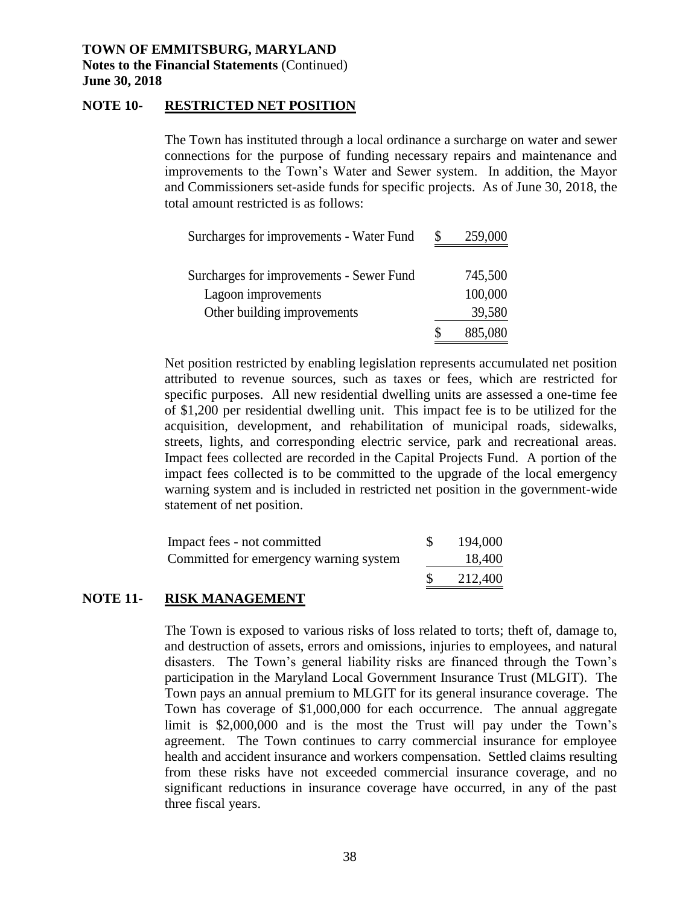#### **NOTE 10- RESTRICTED NET POSITION**

The Town has instituted through a local ordinance a surcharge on water and sewer connections for the purpose of funding necessary repairs and maintenance and improvements to the Town's Water and Sewer system. In addition, the Mayor and Commissioners set-aside funds for specific projects. As of June 30, 2018, the total amount restricted is as follows:

| Surcharges for improvements - Water Fund | 259,000 |
|------------------------------------------|---------|
|                                          |         |
| Surcharges for improvements - Sewer Fund | 745,500 |
| Lagoon improvements                      | 100,000 |
| Other building improvements              | 39,580  |
|                                          | 885,080 |

Net position restricted by enabling legislation represents accumulated net position attributed to revenue sources, such as taxes or fees, which are restricted for specific purposes. All new residential dwelling units are assessed a one-time fee of \$1,200 per residential dwelling unit. This impact fee is to be utilized for the acquisition, development, and rehabilitation of municipal roads, sidewalks, streets, lights, and corresponding electric service, park and recreational areas. Impact fees collected are recorded in the Capital Projects Fund. A portion of the impact fees collected is to be committed to the upgrade of the local emergency warning system and is included in restricted net position in the government-wide statement of net position.

| Impact fees - not committed            | 194,000 |
|----------------------------------------|---------|
| Committed for emergency warning system | 18,400  |
|                                        | 212,400 |

## **NOTE 11- RISK MANAGEMENT**

The Town is exposed to various risks of loss related to torts; theft of, damage to, and destruction of assets, errors and omissions, injuries to employees, and natural disasters. The Town's general liability risks are financed through the Town's participation in the Maryland Local Government Insurance Trust (MLGIT). The Town pays an annual premium to MLGIT for its general insurance coverage. The Town has coverage of \$1,000,000 for each occurrence. The annual aggregate limit is \$2,000,000 and is the most the Trust will pay under the Town's agreement. The Town continues to carry commercial insurance for employee health and accident insurance and workers compensation. Settled claims resulting from these risks have not exceeded commercial insurance coverage, and no significant reductions in insurance coverage have occurred, in any of the past three fiscal years.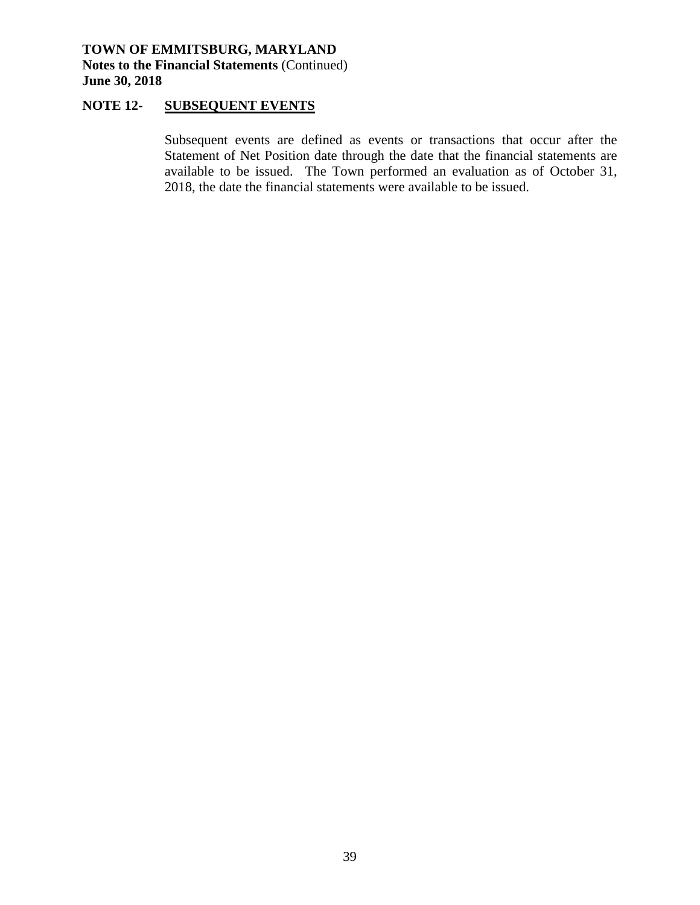## **NOTE 12- SUBSEQUENT EVENTS**

Subsequent events are defined as events or transactions that occur after the Statement of Net Position date through the date that the financial statements are available to be issued. The Town performed an evaluation as of October 31, 2018, the date the financial statements were available to be issued.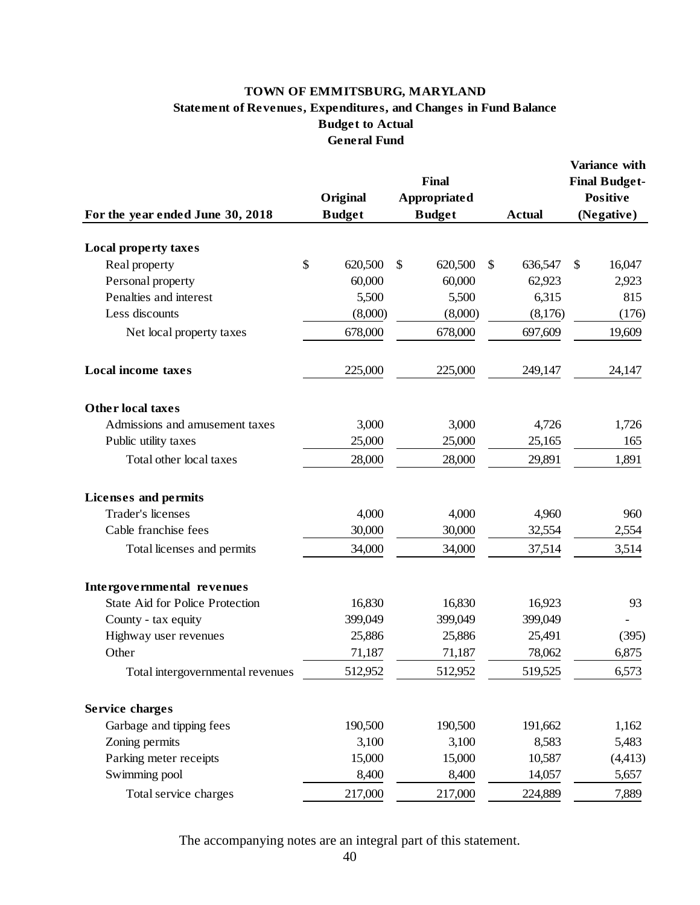| For the year ended June 30, 2018       | Original<br><b>Budget</b> | <b>Final</b><br>Appropriated<br><b>Budget</b> | <b>Actual</b> |               | Variance with<br><b>Final Budget-</b><br><b>Positive</b><br>(Negative) |
|----------------------------------------|---------------------------|-----------------------------------------------|---------------|---------------|------------------------------------------------------------------------|
|                                        |                           |                                               |               |               |                                                                        |
| <b>Local property taxes</b>            |                           |                                               |               |               |                                                                        |
| Real property                          | \$<br>620,500             | \$<br>620,500                                 | \$<br>636,547 | $\mathcal{S}$ | 16,047                                                                 |
| Personal property                      | 60,000                    | 60,000                                        | 62,923        |               | 2,923                                                                  |
| Penalties and interest                 | 5,500                     | 5,500                                         | 6,315         |               | 815                                                                    |
| Less discounts                         | (8,000)                   | (8,000)                                       | (8,176)       |               | (176)                                                                  |
| Net local property taxes               | 678,000                   | 678,000                                       | 697,609       |               | 19,609                                                                 |
| <b>Local income taxes</b>              | 225,000                   | 225,000                                       | 249,147       |               | 24,147                                                                 |
| Other local taxes                      |                           |                                               |               |               |                                                                        |
| Admissions and amusement taxes         | 3,000                     | 3,000                                         | 4,726         |               | 1,726                                                                  |
| Public utility taxes                   | 25,000                    | 25,000                                        | 25,165        |               | 165                                                                    |
| Total other local taxes                | 28,000                    | 28,000                                        | 29,891        |               | 1,891                                                                  |
| Licenses and permits                   |                           |                                               |               |               |                                                                        |
| Trader's licenses                      | 4,000                     | 4,000                                         | 4,960         |               | 960                                                                    |
| Cable franchise fees                   | 30,000                    | 30,000                                        | 32,554        |               | 2,554                                                                  |
| Total licenses and permits             | 34,000                    | 34,000                                        | 37,514        |               | 3,514                                                                  |
| Intergovernmental revenues             |                           |                                               |               |               |                                                                        |
| <b>State Aid for Police Protection</b> | 16,830                    | 16,830                                        | 16,923        |               | 93                                                                     |
| County - tax equity                    | 399,049                   | 399,049                                       | 399,049       |               |                                                                        |
| Highway user revenues                  | 25,886                    | 25,886                                        | 25,491        |               | (395)                                                                  |
| Other                                  | 71,187                    | 71,187                                        | 78,062        |               | 6,875                                                                  |
| Total intergovernmental revenues       | 512,952                   | 512,952                                       | 519,525       |               | 6,573                                                                  |
| <b>Service charges</b>                 |                           |                                               |               |               |                                                                        |
| Garbage and tipping fees               | 190,500                   | 190,500                                       | 191,662       |               | 1,162                                                                  |
| Zoning permits                         | 3,100                     | 3,100                                         | 8,583         |               | 5,483                                                                  |
| Parking meter receipts                 | 15,000                    | 15,000                                        | 10,587        |               | (4, 413)                                                               |
| Swimming pool                          | 8,400                     | 8,400                                         | 14,057        |               | 5,657                                                                  |
| Total service charges                  | 217,000                   | 217,000                                       | 224,889       |               | 7,889                                                                  |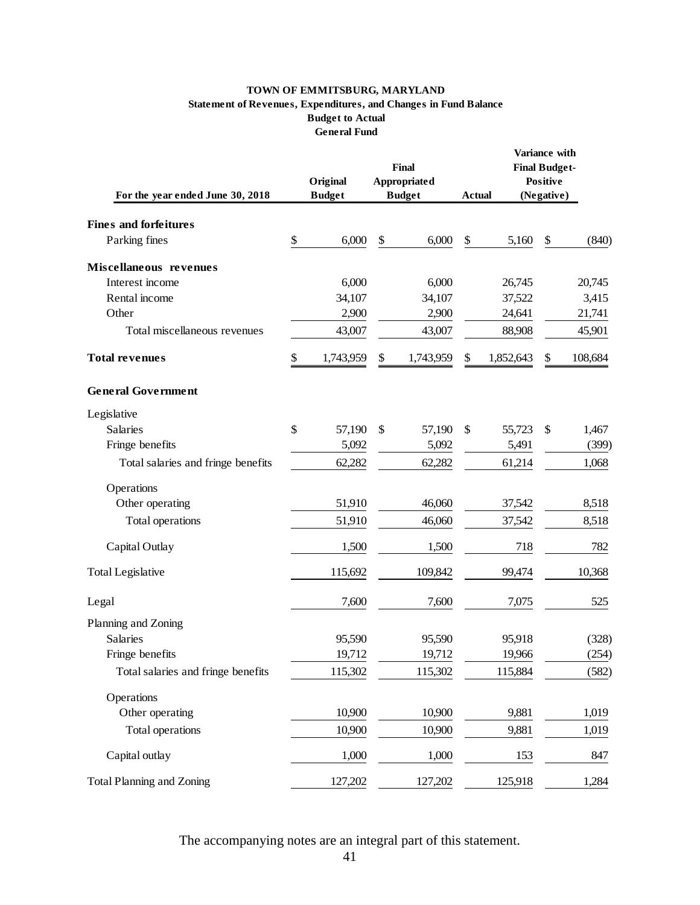| For the year ended June 30, 2018   |    | Original<br><b>Budget</b> |    | <b>Final</b><br>Appropriated<br><b>Budget</b> | <b>Actual</b> |           | Variance with<br><b>Final Budget-</b><br><b>Positive</b><br>(Negative) |         |
|------------------------------------|----|---------------------------|----|-----------------------------------------------|---------------|-----------|------------------------------------------------------------------------|---------|
| <b>Fines and forfeitures</b>       |    |                           |    |                                               |               |           |                                                                        |         |
| Parking fines                      | \$ | 6,000                     | \$ | 6,000                                         | \$            | 5,160     | \$                                                                     | (840)   |
| Miscellaneous revenues             |    |                           |    |                                               |               |           |                                                                        |         |
| Interest income                    |    | 6,000                     |    | 6,000                                         |               | 26,745    |                                                                        | 20,745  |
| Rental income                      |    | 34,107                    |    | 34,107                                        |               | 37,522    |                                                                        | 3,415   |
| Other                              |    | 2,900                     |    | 2,900                                         |               | 24,641    |                                                                        | 21,741  |
| Total miscellaneous revenues       |    | 43,007                    |    | 43,007                                        |               | 88,908    |                                                                        | 45,901  |
| <b>Total revenues</b>              | \$ | 1,743,959                 | \$ | 1,743,959                                     | \$            | 1,852,643 | \$                                                                     | 108,684 |
| <b>General Government</b>          |    |                           |    |                                               |               |           |                                                                        |         |
| Legislative                        |    |                           |    |                                               |               |           |                                                                        |         |
| <b>Salaries</b>                    | \$ | 57,190                    | \$ | 57,190                                        | \$            | 55,723    | \$                                                                     | 1,467   |
| Fringe benefits                    |    | 5,092                     |    | 5,092                                         |               | 5,491     |                                                                        | (399)   |
| Total salaries and fringe benefits |    | 62,282                    |    | 62,282                                        |               | 61,214    |                                                                        | 1,068   |
| Operations                         |    |                           |    |                                               |               |           |                                                                        |         |
| Other operating                    |    | 51,910                    |    | 46,060                                        |               | 37,542    |                                                                        | 8,518   |
| Total operations                   |    | 51,910                    |    | 46,060                                        |               | 37,542    |                                                                        | 8,518   |
| Capital Outlay                     |    | 1,500                     |    | 1,500                                         |               | 718       |                                                                        | 782     |
| <b>Total Legislative</b>           |    | 115,692                   |    | 109,842                                       |               | 99,474    |                                                                        | 10,368  |
| Legal                              |    | 7,600                     |    | 7,600                                         |               | 7,075     |                                                                        | 525     |
| Planning and Zoning                |    |                           |    |                                               |               |           |                                                                        |         |
| <b>Salaries</b>                    |    | 95,590                    |    | 95,590                                        |               | 95,918    |                                                                        | (328)   |
| Fringe benefits                    |    | 19,712                    |    | 19,712                                        |               | 19,966    |                                                                        | (254)   |
| Total salaries and fringe benefits |    | 115,302                   |    | 115,302                                       |               | 115,884   |                                                                        | (582)   |
| Operations                         |    |                           |    |                                               |               |           |                                                                        |         |
| Other operating                    |    | 10,900                    |    | 10,900                                        |               | 9,881     |                                                                        | 1,019   |
| <b>Total operations</b>            |    | 10,900                    |    | 10,900                                        |               | 9,881     |                                                                        | 1,019   |
| Capital outlay                     |    | 1,000                     |    | 1,000                                         |               | 153       |                                                                        | 847     |
| <b>Total Planning and Zoning</b>   |    | 127,202                   |    | 127,202                                       |               | 125,918   |                                                                        | 1,284   |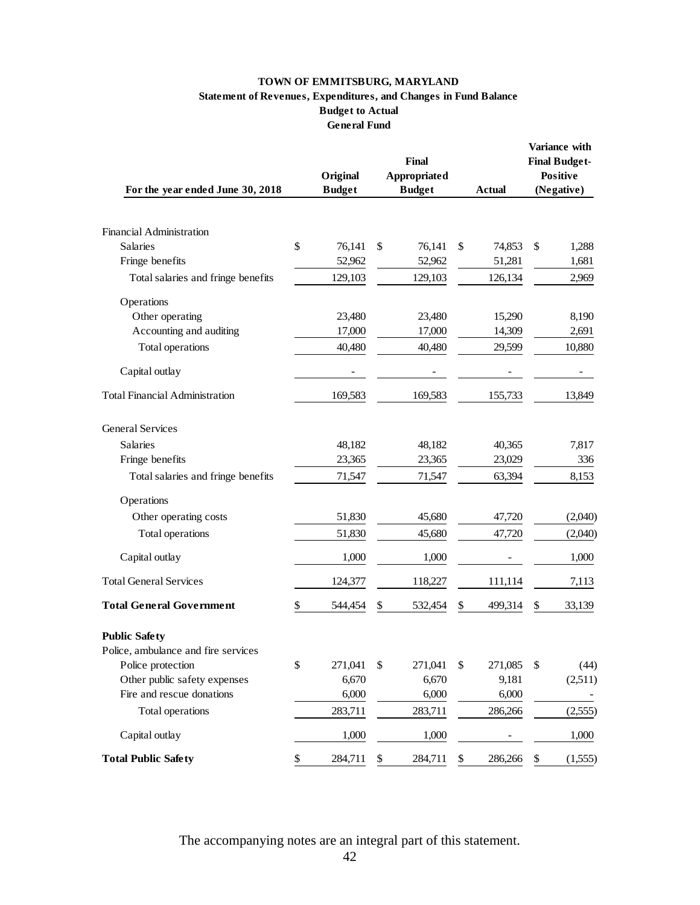| For the year ended June 30, 2018      | Original<br><b>Budget</b> | Final<br><b>Appropriated</b><br><b>Budget</b> |              | <b>Actual</b>            | Variance with<br><b>Final Budget-</b><br><b>Positive</b><br>(Negative) |
|---------------------------------------|---------------------------|-----------------------------------------------|--------------|--------------------------|------------------------------------------------------------------------|
| Financial Administration              |                           |                                               |              |                          |                                                                        |
| <b>Salaries</b>                       | \$<br>76,141              | \$<br>76,141                                  | \$           | 74,853                   | \$<br>1,288                                                            |
| Fringe benefits                       | 52,962                    | 52,962                                        |              | 51,281                   | 1,681                                                                  |
| Total salaries and fringe benefits    | 129,103                   | 129,103                                       |              | 126,134                  | 2,969                                                                  |
| Operations                            |                           |                                               |              |                          |                                                                        |
| Other operating                       | 23,480                    | 23,480                                        |              | 15,290                   | 8,190                                                                  |
| Accounting and auditing               | 17,000                    | 17,000                                        |              | 14,309                   | 2,691                                                                  |
| Total operations                      | 40,480                    | 40,480                                        |              | 29,599                   | 10,880                                                                 |
| Capital outlay                        |                           |                                               |              | $\overline{\phantom{0}}$ | $\blacksquare$                                                         |
| <b>Total Financial Administration</b> | 169,583                   | 169,583                                       |              | 155,733                  | 13,849                                                                 |
| <b>General Services</b>               |                           |                                               |              |                          |                                                                        |
| Salaries                              | 48,182                    | 48,182                                        |              | 40,365                   | 7,817                                                                  |
| Fringe benefits                       | 23,365                    | 23,365                                        |              | 23,029                   | 336                                                                    |
| Total salaries and fringe benefits    | 71,547                    | 71,547                                        |              | 63,394                   | 8,153                                                                  |
| Operations                            |                           |                                               |              |                          |                                                                        |
| Other operating costs                 | 51,830                    | 45,680                                        |              | 47,720                   | (2,040)                                                                |
| Total operations                      | 51,830                    | 45,680                                        |              | 47,720                   | (2,040)                                                                |
| Capital outlay                        | 1,000                     | 1,000                                         |              | $\overline{\phantom{0}}$ | 1,000                                                                  |
| <b>Total General Services</b>         | 124,377                   | 118,227                                       |              | 111,114                  | 7,113                                                                  |
| <b>Total General Government</b>       | \$<br>544,454             | \$<br>532,454                                 | \$           | 499,314                  | \$<br>33,139                                                           |
| <b>Public Safety</b>                  |                           |                                               |              |                          |                                                                        |
| Police, ambulance and fire services   |                           |                                               |              |                          |                                                                        |
| Police protection                     | \$<br>271,041             | \$<br>271,041                                 | \$           | 271,085                  | \$<br>(44)                                                             |
| Other public safety expenses          | 6,670                     | 6,670                                         |              | 9,181                    | (2,511)                                                                |
| Fire and rescue donations             | 6,000                     | 6,000                                         |              | 6,000                    |                                                                        |
| Total operations                      | 283,711                   | 283,711                                       |              | 286,266                  | (2,555)                                                                |
| Capital outlay                        | 1,000                     | 1,000                                         |              |                          | 1,000                                                                  |
| <b>Total Public Safety</b>            | \$<br>284,711             | \$<br>284,711                                 | $\mathbb{S}$ | 286,266                  | \$<br>(1,555)                                                          |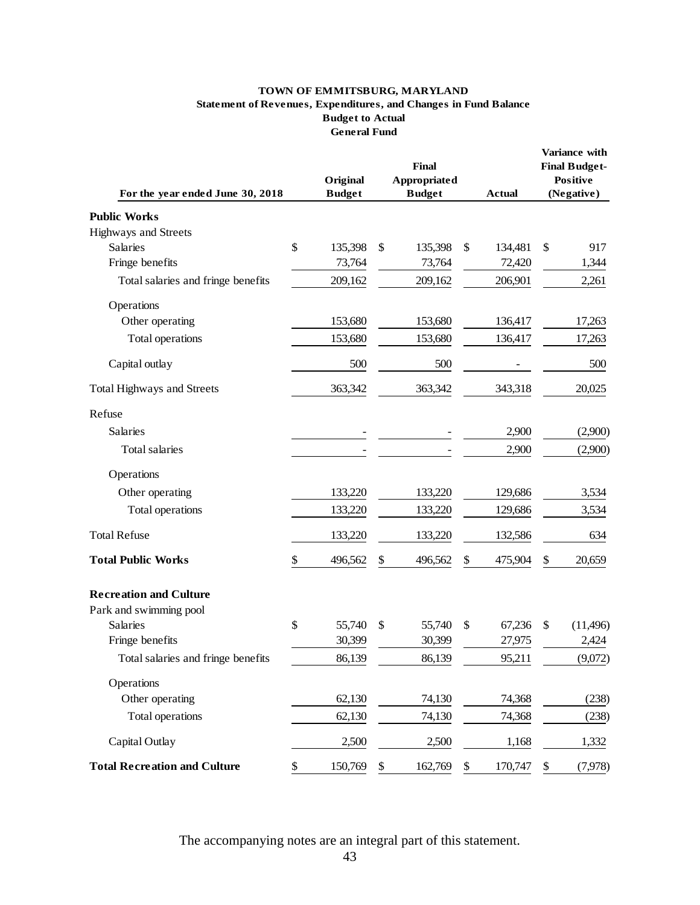| For the year ended June 30, 2018                        | Original<br><b>Budget</b> | Final<br><b>Appropriated</b><br><b>Budget</b> | <b>Actual</b> | Variance with<br><b>Final Budget-</b><br><b>Positive</b><br>(Negative) |
|---------------------------------------------------------|---------------------------|-----------------------------------------------|---------------|------------------------------------------------------------------------|
| <b>Public Works</b>                                     |                           |                                               |               |                                                                        |
| <b>Highways and Streets</b>                             |                           |                                               |               |                                                                        |
| <b>Salaries</b>                                         | \$<br>135,398             | \$<br>135,398                                 | \$<br>134,481 | \$<br>917                                                              |
| Fringe benefits                                         | 73,764                    | 73,764                                        | 72,420        | 1,344                                                                  |
| Total salaries and fringe benefits                      | 209,162                   | 209,162                                       | 206,901       | 2,261                                                                  |
| Operations                                              |                           |                                               |               |                                                                        |
| Other operating                                         | 153,680                   | 153,680                                       | 136,417       | 17,263                                                                 |
| Total operations                                        | 153,680                   | 153,680                                       | 136,417       | 17,263                                                                 |
| Capital outlay                                          | 500                       | 500                                           |               | 500                                                                    |
| <b>Total Highways and Streets</b>                       | 363,342                   | 363,342                                       | 343,318       | 20,025                                                                 |
| Refuse                                                  |                           |                                               |               |                                                                        |
| <b>Salaries</b>                                         |                           |                                               | 2,900         | (2,900)                                                                |
| Total salaries                                          |                           |                                               | 2,900         | (2,900)                                                                |
| Operations                                              |                           |                                               |               |                                                                        |
| Other operating                                         | 133,220                   | 133,220                                       | 129,686       | 3,534                                                                  |
| Total operations                                        | 133,220                   | 133,220                                       | 129,686       | 3,534                                                                  |
| <b>Total Refuse</b>                                     | 133,220                   | 133,220                                       | 132,586       | 634                                                                    |
| <b>Total Public Works</b>                               | \$<br>496,562             | \$<br>496,562                                 | \$<br>475,904 | \$<br>20,659                                                           |
| <b>Recreation and Culture</b><br>Park and swimming pool |                           |                                               |               |                                                                        |
| Salaries                                                | \$<br>55,740              | \$<br>55,740                                  | \$<br>67,236  | \$<br>(11,496)                                                         |
| Fringe benefits                                         | 30,399                    | 30,399                                        | 27,975        | 2,424                                                                  |
| Total salaries and fringe benefits                      | 86,139                    | 86,139                                        | 95,211        | (9,072)                                                                |
| Operations                                              |                           |                                               |               |                                                                        |
| Other operating                                         | 62,130                    | 74,130                                        | 74,368        | (238)                                                                  |
| Total operations                                        | 62,130                    | 74,130                                        | 74,368        | (238)                                                                  |
| Capital Outlay                                          | 2,500                     | 2,500                                         | 1,168         | 1,332                                                                  |
| <b>Total Recreation and Culture</b>                     | \$<br>150,769             | \$<br>162,769                                 | \$<br>170,747 | \$<br>(7,978)                                                          |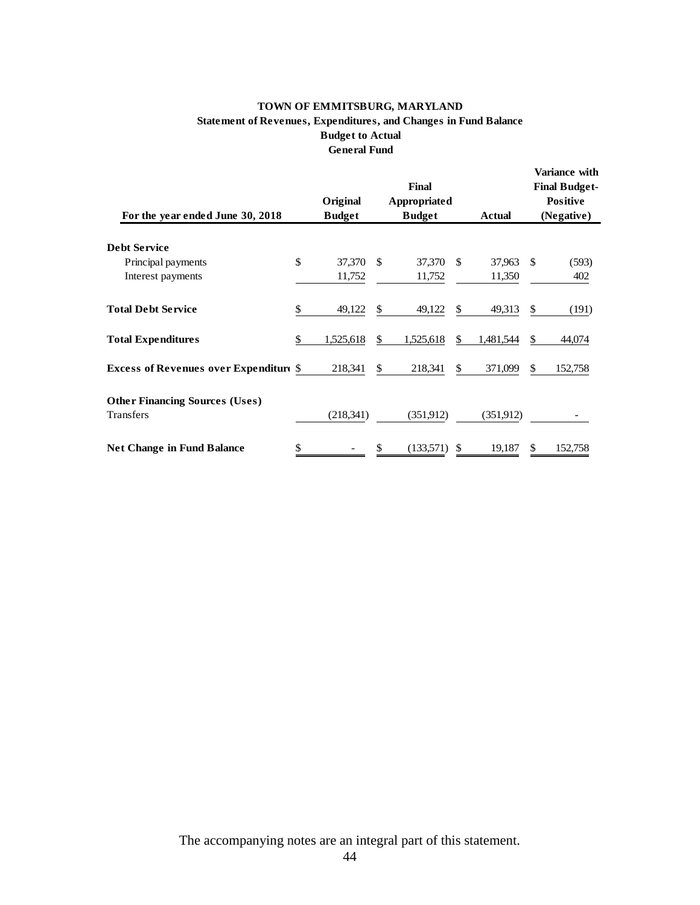| For the year ended June 30, 2018              | Original<br><b>Budget</b> |      | <b>Final</b><br><b>Appropriated</b><br><b>Budget</b> |     | <b>Actual</b> |               | Variance with<br><b>Final Budget-</b><br><b>Positive</b><br>(Negative) |
|-----------------------------------------------|---------------------------|------|------------------------------------------------------|-----|---------------|---------------|------------------------------------------------------------------------|
| <b>Debt Service</b>                           |                           |      |                                                      |     |               |               |                                                                        |
| Principal payments                            | \$<br>37,370              | - \$ | 37,370 \$                                            |     | 37,963        | -S            | (593)                                                                  |
| Interest payments                             | 11,752                    |      | 11,752                                               |     | 11,350        |               | 402                                                                    |
| <b>Total Debt Service</b>                     | \$<br>49,122              | \$   | 49,122                                               | \$  | 49,313        | \$            | (191)                                                                  |
| <b>Total Expenditures</b>                     | \$<br>1,525,618           | \$.  | 1,525,618                                            | \$. | 1,481,544     | <sup>\$</sup> | 44,074                                                                 |
| <b>Excess of Revenues over Expenditure \$</b> | 218,341                   | \$   | 218,341                                              | \$  | 371,099       | \$            | 152,758                                                                |
| <b>Other Financing Sources (Uses)</b>         |                           |      |                                                      |     |               |               |                                                                        |
| <b>Transfers</b>                              | (218,341)                 |      | (351,912)                                            |     | (351,912)     |               |                                                                        |
| <b>Net Change in Fund Balance</b>             | \$                        | \$   | (133,571)                                            | S   | 19,187        | S             | 152,758                                                                |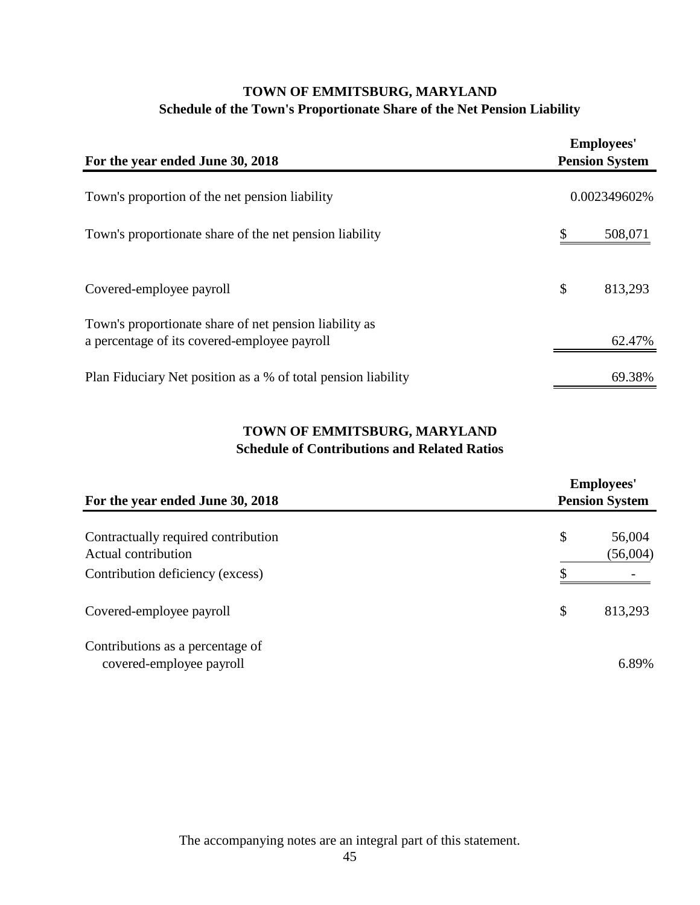| For the year ended June 30, 2018                                                                       | <b>Employees'</b><br><b>Pension System</b> |
|--------------------------------------------------------------------------------------------------------|--------------------------------------------|
| Town's proportion of the net pension liability                                                         | 0.002349602%                               |
| Town's proportionate share of the net pension liability                                                | 508,071                                    |
| Covered-employee payroll                                                                               | \$<br>813,293                              |
| Town's proportionate share of net pension liability as<br>a percentage of its covered-employee payroll | 62.47%                                     |
| Plan Fiduciary Net position as a % of total pension liability                                          | 69.38%                                     |

# **TOWN OF EMMITSBURG, MARYLAND Schedule of Contributions and Related Ratios**

| For the year ended June 30, 2018                             | <b>Employees'</b><br><b>Pension System</b> |  |  |  |  |
|--------------------------------------------------------------|--------------------------------------------|--|--|--|--|
| Contractually required contribution<br>Actual contribution   | \$<br>56,004<br>(56,004)                   |  |  |  |  |
| Contribution deficiency (excess)                             |                                            |  |  |  |  |
| Covered-employee payroll                                     | \$<br>813,293                              |  |  |  |  |
| Contributions as a percentage of<br>covered-employee payroll | 6.89%                                      |  |  |  |  |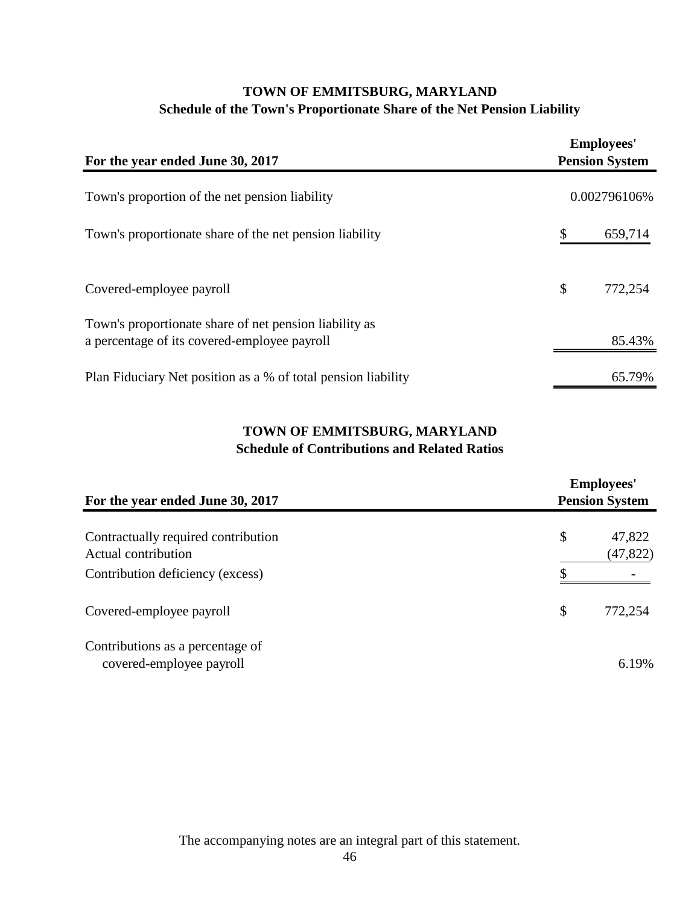| For the year ended June 30, 2017                                                                       | <b>Employees'</b><br><b>Pension System</b> |              |
|--------------------------------------------------------------------------------------------------------|--------------------------------------------|--------------|
| Town's proportion of the net pension liability                                                         |                                            | 0.002796106% |
| Town's proportionate share of the net pension liability                                                |                                            | 659,714      |
| Covered-employee payroll                                                                               | \$                                         | 772,254      |
| Town's proportionate share of net pension liability as<br>a percentage of its covered-employee payroll |                                            | 85.43%       |
| Plan Fiduciary Net position as a % of total pension liability                                          |                                            | 65.79%       |

# **Schedule of Contributions and Related Ratios TOWN OF EMMITSBURG, MARYLAND**

| For the year ended June 30, 2017                             | <b>Employees'</b><br><b>Pension System</b> |                     |
|--------------------------------------------------------------|--------------------------------------------|---------------------|
| Contractually required contribution<br>Actual contribution   | \$                                         | 47,822<br>(47, 822) |
| Contribution deficiency (excess)                             |                                            |                     |
| Covered-employee payroll                                     | \$                                         | 772,254             |
| Contributions as a percentage of<br>covered-employee payroll |                                            | $6.19\%$            |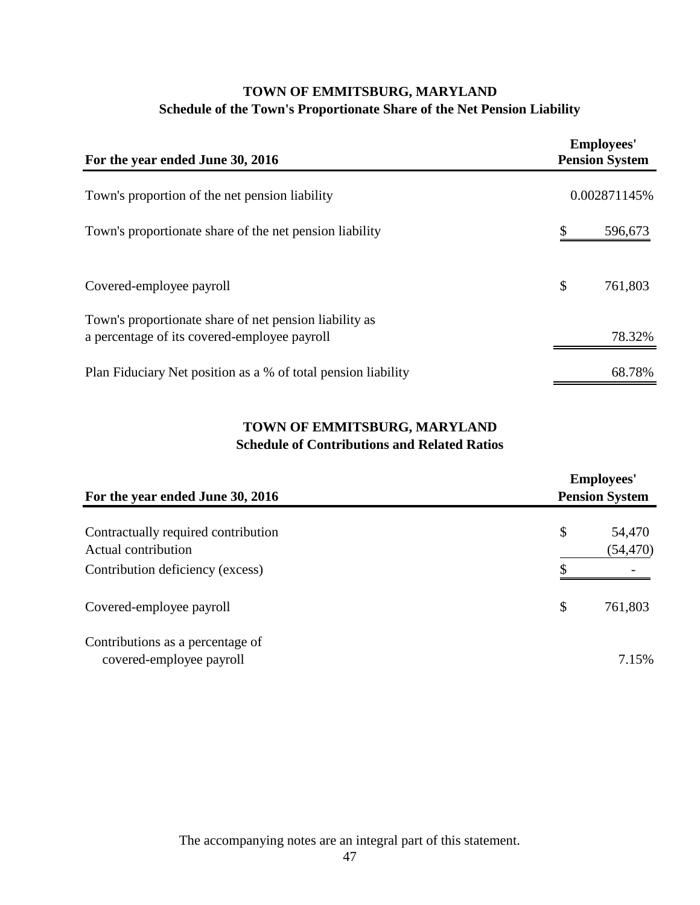| For the year ended June 30, 2016                                                                       | <b>Employees'</b><br><b>Pension System</b> |              |
|--------------------------------------------------------------------------------------------------------|--------------------------------------------|--------------|
| Town's proportion of the net pension liability                                                         |                                            | 0.002871145% |
| Town's proportionate share of the net pension liability                                                |                                            | 596,673      |
| Covered-employee payroll                                                                               | \$                                         | 761,803      |
| Town's proportionate share of net pension liability as<br>a percentage of its covered-employee payroll |                                            | 78.32%       |
| Plan Fiduciary Net position as a % of total pension liability                                          |                                            | 68.78%       |

## **TOWN OF EMMITSBURG, MARYLAND Schedule of Contributions and Related Ratios**

| For the year ended June 30, 2016                             | <b>Employees'</b><br><b>Pension System</b> |                     |
|--------------------------------------------------------------|--------------------------------------------|---------------------|
| Contractually required contribution<br>Actual contribution   | \$                                         | 54,470<br>(54, 470) |
| Contribution deficiency (excess)                             |                                            |                     |
| Covered-employee payroll                                     | \$                                         | 761,803             |
| Contributions as a percentage of<br>covered-employee payroll |                                            | 7.15%               |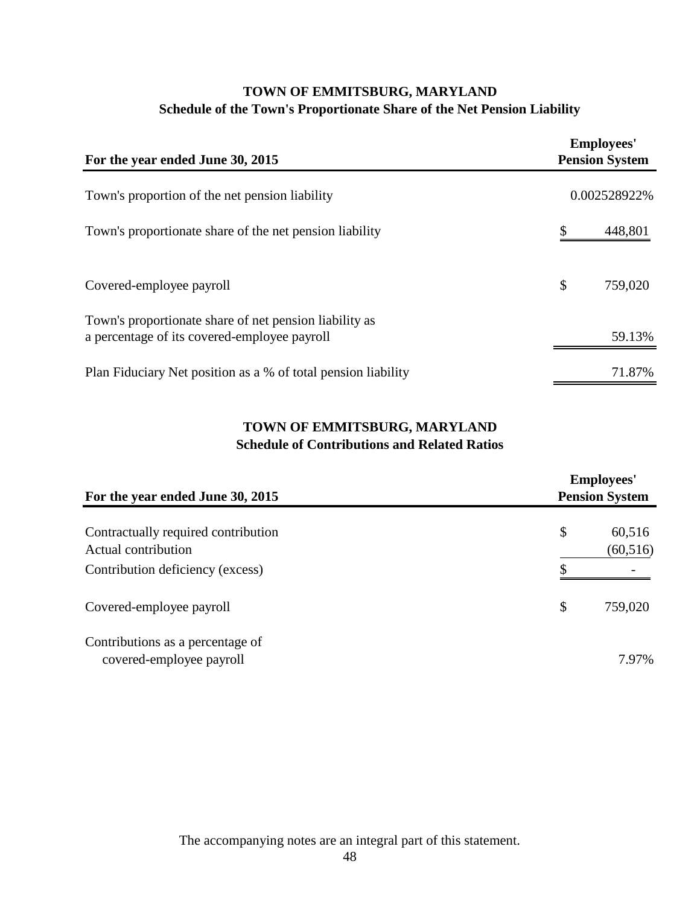| For the year ended June 30, 2015                                                                       |    | <b>Employees'</b><br><b>Pension System</b> |  |
|--------------------------------------------------------------------------------------------------------|----|--------------------------------------------|--|
| Town's proportion of the net pension liability                                                         |    | 0.002528922%                               |  |
| Town's proportionate share of the net pension liability                                                |    | 448,801                                    |  |
| Covered-employee payroll                                                                               | \$ | 759,020                                    |  |
| Town's proportionate share of net pension liability as<br>a percentage of its covered-employee payroll |    | 59.13%                                     |  |
| Plan Fiduciary Net position as a % of total pension liability                                          |    | 71.87%                                     |  |

## **TOWN OF EMMITSBURG, MARYLAND Schedule of Contributions and Related Ratios**

| For the year ended June 30, 2015                             | <b>Employees'</b><br><b>Pension System</b> |
|--------------------------------------------------------------|--------------------------------------------|
| Contractually required contribution<br>Actual contribution   | \$<br>60,516<br>(60, 516)                  |
| Contribution deficiency (excess)                             |                                            |
| Covered-employee payroll                                     | \$<br>759,020                              |
| Contributions as a percentage of<br>covered-employee payroll | 7.97%                                      |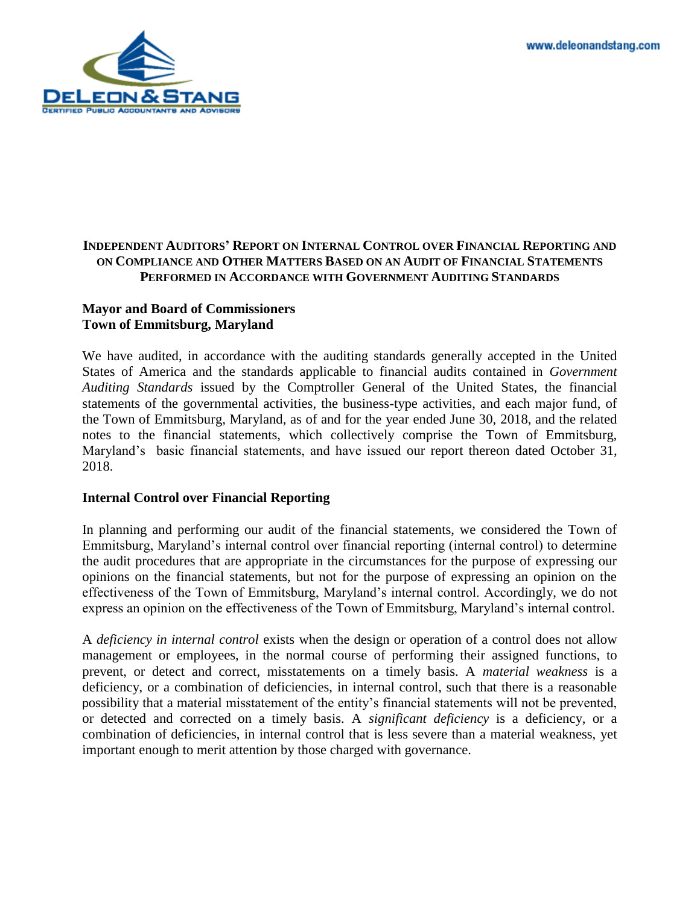

## **INDEPENDENT AUDITORS' REPORT ON INTERNAL CONTROL OVER FINANCIAL REPORTING AND ON COMPLIANCE AND OTHER MATTERS BASED ON AN AUDIT OF FINANCIAL STATEMENTS PERFORMED IN ACCORDANCE WITH GOVERNMENT AUDITING STANDARDS**

## **Mayor and Board of Commissioners Town of Emmitsburg, Maryland**

We have audited, in accordance with the auditing standards generally accepted in the United States of America and the standards applicable to financial audits contained in *Government Auditing Standards* issued by the Comptroller General of the United States, the financial statements of the governmental activities, the business-type activities, and each major fund, of the Town of Emmitsburg, Maryland, as of and for the year ended June 30, 2018, and the related notes to the financial statements, which collectively comprise the Town of Emmitsburg, Maryland's basic financial statements, and have issued our report thereon dated October 31, 2018.

#### **Internal Control over Financial Reporting**

In planning and performing our audit of the financial statements, we considered the Town of Emmitsburg, Maryland's internal control over financial reporting (internal control) to determine the audit procedures that are appropriate in the circumstances for the purpose of expressing our opinions on the financial statements, but not for the purpose of expressing an opinion on the effectiveness of the Town of Emmitsburg, Maryland's internal control. Accordingly, we do not express an opinion on the effectiveness of the Town of Emmitsburg, Maryland's internal control.

A *deficiency in internal control* exists when the design or operation of a control does not allow management or employees, in the normal course of performing their assigned functions, to prevent, or detect and correct, misstatements on a timely basis. A *material weakness* is a deficiency, or a combination of deficiencies, in internal control, such that there is a reasonable possibility that a material misstatement of the entity's financial statements will not be prevented, or detected and corrected on a timely basis. A *significant deficiency* is a deficiency, or a combination of deficiencies, in internal control that is less severe than a material weakness, yet important enough to merit attention by those charged with governance.